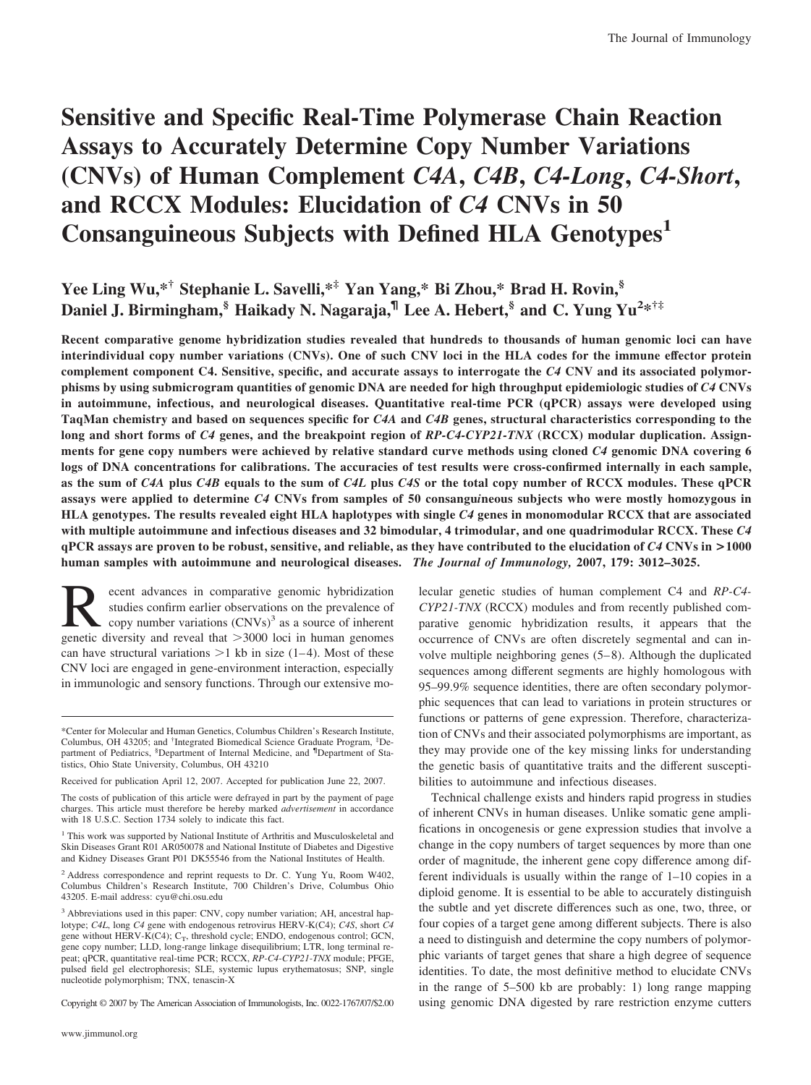# **Sensitive and Specific Real-Time Polymerase Chain Reaction Assays to Accurately Determine Copy Number Variations (CNVs) of Human Complement** *C4A***,** *C4B***,** *C4-Long***,** *C4-Short***, and RCCX Modules: Elucidation of** *C4* **CNVs in 50 Consanguineous Subjects with Defined HLA Genotypes1**

# **Yee Ling Wu,\*† Stephanie L. Savelli,\*‡ Yan Yang,\* Bi Zhou,\* Brad H. Rovin,§ Daniel J. Birmingham,§ Haikady N. Nagaraja,¶ Lee A. Hebert,§ and C. Yung Yu<sup>2</sup> \*†‡**

**Recent comparative genome hybridization studies revealed that hundreds to thousands of human genomic loci can have interindividual copy number variations (CNVs). One of such CNV loci in the HLA codes for the immune effector protein complement component C4. Sensitive, specific, and accurate assays to interrogate the** *C4* **CNV and its associated polymorphisms by using submicrogram quantities of genomic DNA are needed for high throughput epidemiologic studies of** *C4* **CNVs in autoimmune, infectious, and neurological diseases. Quantitative real-time PCR (qPCR) assays were developed using TaqMan chemistry and based on sequences specific for** *C4A* **and** *C4B* **genes, structural characteristics corresponding to the long and short forms of** *C4* **genes, and the breakpoint region of** *RP-C4-CYP21-TNX* **(RCCX) modular duplication. Assignments for gene copy numbers were achieved by relative standard curve methods using cloned** *C4* **genomic DNA covering 6 logs of DNA concentrations for calibrations. The accuracies of test results were cross-confirmed internally in each sample, as the sum of** *C4A* **plus** *C4B* **equals to the sum of** *C4L* **plus** *C4S* **or the total copy number of RCCX modules. These qPCR assays were applied to determine** *C4* **CNVs from samples of 50 consangu***i***neous subjects who were mostly homozygous in HLA genotypes. The results revealed eight HLA haplotypes with single** *C4* **genes in monomodular RCCX that are associated with multiple autoimmune and infectious diseases and 32 bimodular, 4 trimodular, and one quadrimodular RCCX. These** *C4* **qPCR assays are proven to be robust, sensitive, and reliable, as they have contributed to the elucidation of** *C4* **CNVs in >1000 human samples with autoimmune and neurological diseases.** *The Journal of Immunology,* **2007, 179: 3012–3025.**

Execut advances in comparative genomic hybridization<br>studies confirm earlier observations on the prevalence of<br>copy number variations  $(CNVs)^3$  as a source of inherent<br>genetic diversity and reveal that >3000 loci in human ge studies confirm earlier observations on the prevalence of copy number variations  $(CNVs)^3$  as a source of inherent genetic diversity and reveal that 3000 loci in human genomes can have structural variations  $>1$  kb in size (1–4). Most of these CNV loci are engaged in gene-environment interaction, especially in immunologic and sensory functions. Through our extensive mo-

Copyright © 2007 by The American Association of Immunologists, Inc. 0022-1767/07/\$2.00

lecular genetic studies of human complement C4 and *RP-C4- CYP21-TNX* (RCCX) modules and from recently published comparative genomic hybridization results, it appears that the occurrence of CNVs are often discretely segmental and can involve multiple neighboring genes  $(5-8)$ . Although the duplicated sequences among different segments are highly homologous with 95–99.9% sequence identities, there are often secondary polymorphic sequences that can lead to variations in protein structures or functions or patterns of gene expression. Therefore, characterization of CNVs and their associated polymorphisms are important, as they may provide one of the key missing links for understanding the genetic basis of quantitative traits and the different susceptibilities to autoimmune and infectious diseases.

Technical challenge exists and hinders rapid progress in studies of inherent CNVs in human diseases. Unlike somatic gene amplifications in oncogenesis or gene expression studies that involve a change in the copy numbers of target sequences by more than one order of magnitude, the inherent gene copy difference among different individuals is usually within the range of 1–10 copies in a diploid genome. It is essential to be able to accurately distinguish the subtle and yet discrete differences such as one, two, three, or four copies of a target gene among different subjects. There is also a need to distinguish and determine the copy numbers of polymorphic variants of target genes that share a high degree of sequence identities. To date, the most definitive method to elucidate CNVs in the range of 5–500 kb are probably: 1) long range mapping using genomic DNA digested by rare restriction enzyme cutters

<sup>\*</sup>Center for Molecular and Human Genetics, Columbus Children's Research Institute, Columbus, OH 43205; and † Integrated Biomedical Science Graduate Program, ‡ Department of Pediatrics, <sup>§</sup>Department of Internal Medicine, and <sup>¶</sup>Department of Statistics, Ohio State University, Columbus, OH 43210

Received for publication April 12, 2007. Accepted for publication June 22, 2007.

The costs of publication of this article were defrayed in part by the payment of page charges. This article must therefore be hereby marked *advertisement* in accordance with 18 U.S.C. Section 1734 solely to indicate this fact.

<sup>&</sup>lt;sup>1</sup> This work was supported by National Institute of Arthritis and Musculoskeletal and Skin Diseases Grant R01 AR050078 and National Institute of Diabetes and Digestive and Kidney Diseases Grant P01 DK55546 from the National Institutes of Health.

<sup>2</sup> Address correspondence and reprint requests to Dr. C. Yung Yu, Room W402, Columbus Children's Research Institute, 700 Children's Drive, Columbus Ohio 43205. E-mail address: cyu@chi.osu.edu

<sup>&</sup>lt;sup>3</sup> Abbreviations used in this paper: CNV, copy number variation; AH, ancestral haplotype; *C4L*, long *C4* gene with endogenous retrovirus HERV-K(C4); *C4S*, short *C4* gene without HERV-K(C4);  $C_T$ , threshold cycle; ENDO, endogenous control; GCN, gene copy number; LLD, long-range linkage disequilibrium; LTR, long terminal repeat; qPCR, quantitative real-time PCR; RCCX, *RP-C4-CYP21-TNX* module; PFGE, pulsed field gel electrophoresis; SLE, systemic lupus erythematosus; SNP, single nucleotide polymorphism; TNX, tenascin-X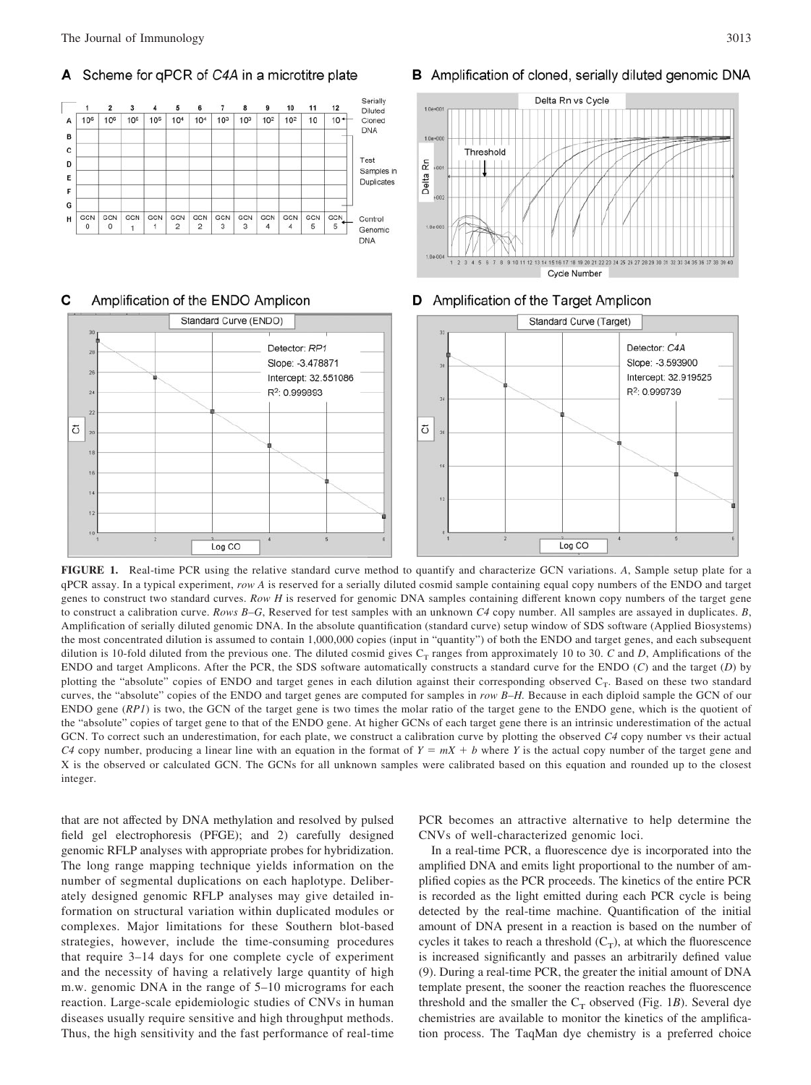# A Scheme for qPCR of C4A in a microtitre plate



#### с Amplification of the ENDO Amplicon



# **B** Amplification of cloned, serially diluted genomic DNA



# Standard Curve (Target) Detector: C4A Slope: -3.593900 Intercept: 32.919525 R<sup>2</sup>: 0.999739 õ Log CO

# D Amplification of the Target Amplicon

**FIGURE 1.** Real-time PCR using the relative standard curve method to quantify and characterize GCN variations. *A*, Sample setup plate for a qPCR assay. In a typical experiment, *row A* is reserved for a serially diluted cosmid sample containing equal copy numbers of the ENDO and target genes to construct two standard curves. *Row H* is reserved for genomic DNA samples containing different known copy numbers of the target gene to construct a calibration curve. *Rows B–G*, Reserved for test samples with an unknown *C4* copy number. All samples are assayed in duplicates. *B*, Amplification of serially diluted genomic DNA. In the absolute quantification (standard curve) setup window of SDS software (Applied Biosystems) the most concentrated dilution is assumed to contain 1,000,000 copies (input in "quantity") of both the ENDO and target genes, and each subsequent dilution is 10-fold diluted from the previous one. The diluted cosmid gives C<sub>T</sub> ranges from approximately 10 to 30. *C* and *D*, Amplifications of the ENDO and target Amplicons. After the PCR, the SDS software automatically constructs a standard curve for the ENDO (*C*) and the target (*D*) by plotting the "absolute" copies of ENDO and target genes in each dilution against their corresponding observed  $C_T$ . Based on these two standard curves, the "absolute" copies of the ENDO and target genes are computed for samples in *row B–H.* Because in each diploid sample the GCN of our ENDO gene (*RP1*) is two, the GCN of the target gene is two times the molar ratio of the target gene to the ENDO gene, which is the quotient of the "absolute" copies of target gene to that of the ENDO gene. At higher GCNs of each target gene there is an intrinsic underestimation of the actual GCN. To correct such an underestimation, for each plate, we construct a calibration curve by plotting the observed *C4* copy number vs their actual *C4* copy number, producing a linear line with an equation in the format of  $Y = mX + b$  where *Y* is the actual copy number of the target gene and X is the observed or calculated GCN. The GCNs for all unknown samples were calibrated based on this equation and rounded up to the closest integer.

that are not affected by DNA methylation and resolved by pulsed field gel electrophoresis (PFGE); and 2) carefully designed genomic RFLP analyses with appropriate probes for hybridization. The long range mapping technique yields information on the number of segmental duplications on each haplotype. Deliberately designed genomic RFLP analyses may give detailed information on structural variation within duplicated modules or complexes. Major limitations for these Southern blot-based strategies, however, include the time-consuming procedures that require 3–14 days for one complete cycle of experiment and the necessity of having a relatively large quantity of high m.w. genomic DNA in the range of 5–10 micrograms for each reaction. Large-scale epidemiologic studies of CNVs in human diseases usually require sensitive and high throughput methods. Thus, the high sensitivity and the fast performance of real-time

PCR becomes an attractive alternative to help determine the CNVs of well-characterized genomic loci.

In a real-time PCR, a fluorescence dye is incorporated into the amplified DNA and emits light proportional to the number of amplified copies as the PCR proceeds. The kinetics of the entire PCR is recorded as the light emitted during each PCR cycle is being detected by the real-time machine. Quantification of the initial amount of DNA present in a reaction is based on the number of cycles it takes to reach a threshold  $(C_T)$ , at which the fluorescence is increased significantly and passes an arbitrarily defined value (9). During a real-time PCR, the greater the initial amount of DNA template present, the sooner the reaction reaches the fluorescence threshold and the smaller the  $C_T$  observed (Fig. 1*B*). Several dye chemistries are available to monitor the kinetics of the amplification process. The TaqMan dye chemistry is a preferred choice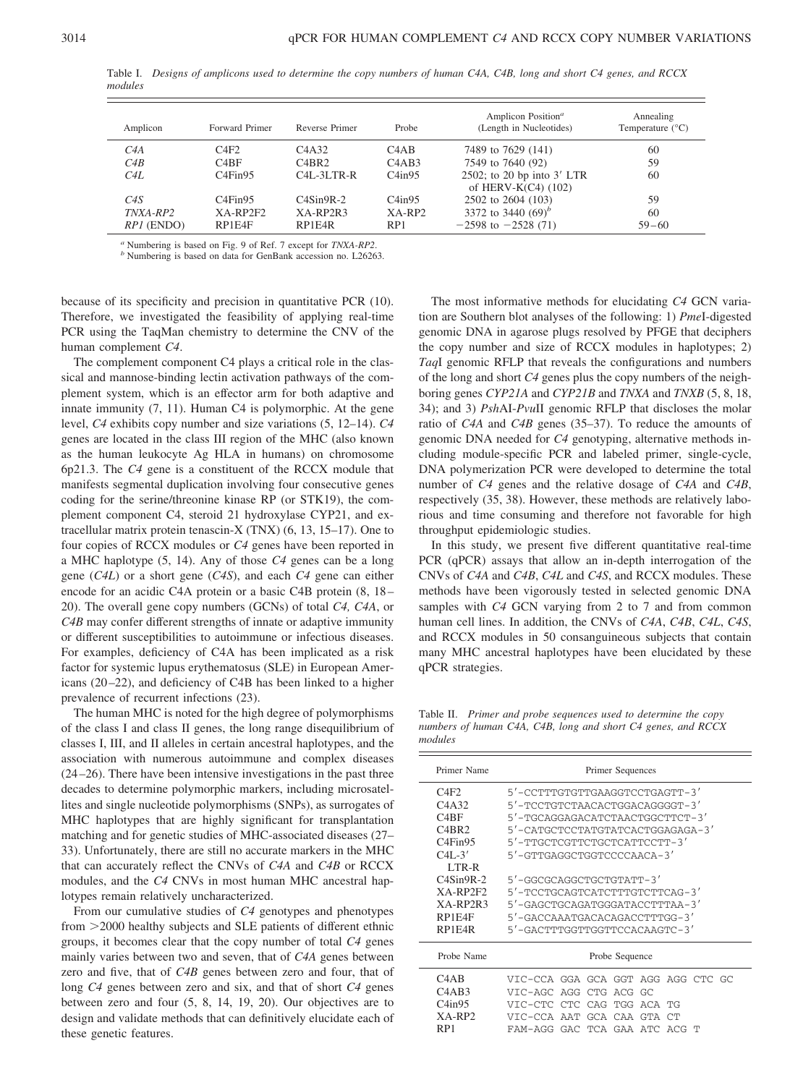Table I. *Designs of amplicons used to determine the copy numbers of human C4A, C4B, long and short C4 genes, and RCCX modules*

| Amplicon     | Forward Primer | Reverse Primer | Probe                         | Amplicon Position <sup>a</sup><br>(Length in Nucleotides) | Annealing<br>Temperature $(^{\circ}C)$ |
|--------------|----------------|----------------|-------------------------------|-----------------------------------------------------------|----------------------------------------|
| C4A          | C4F2           | C4A32          | C <sub>4</sub> A <sub>B</sub> | 7489 to 7629 (141)                                        | 60                                     |
| C4B          | C4BF           | C4BR2          | C4AB3                         | 7549 to 7640 (92)                                         | 59                                     |
| C4L          | C4Fin95        | $C4L-3LTR-R$   | C4in95                        | 2502; to 20 bp into $3'$ LTR<br>of HERV-K(C4) (102)       | 60                                     |
| C4S          | C4Fin95        | $C4Sin9R-2$    | C4in95                        | 2502 to 2604 (103)                                        | 59                                     |
| TNXA-RP2     | $XA-RP2F2$     | $XA-RP2R3$     | $XA-RP2$                      | 3372 to 3440 $(69)^b$                                     | 60                                     |
| $RPI$ (ENDO) | RP1E4F         | RP1E4R         | RP <sub>1</sub>               | $-2598$ to $-2528(71)$                                    | $59 - 60$                              |

*<sup>a</sup>* Numbering is based on Fig. 9 of Ref. 7 except for *TNXA-RP2*. *<sup>b</sup>* Numbering is based on data for GenBank accession no. L26263.

because of its specificity and precision in quantitative PCR (10). Therefore, we investigated the feasibility of applying real-time PCR using the TaqMan chemistry to determine the CNV of the human complement *C4*.

The complement component C4 plays a critical role in the classical and mannose-binding lectin activation pathways of the complement system, which is an effector arm for both adaptive and innate immunity  $(7, 11)$ . Human C4 is polymorphic. At the gene level, *C4* exhibits copy number and size variations (5, 12–14). *C4* genes are located in the class III region of the MHC (also known as the human leukocyte Ag HLA in humans) on chromosome 6p21.3. The *C4* gene is a constituent of the RCCX module that manifests segmental duplication involving four consecutive genes coding for the serine/threonine kinase RP (or STK19), the complement component C4, steroid 21 hydroxylase CYP21, and extracellular matrix protein tenascin-X (TNX) (6, 13, 15–17). One to four copies of RCCX modules or *C4* genes have been reported in a MHC haplotype (5, 14). Any of those *C4* genes can be a long gene (*C4L*) or a short gene (*C4S*), and each *C4* gene can either encode for an acidic C4A protein or a basic C4B protein (8, 18 – 20). The overall gene copy numbers (GCNs) of total *C4, C4A*, or *C4B* may confer different strengths of innate or adaptive immunity or different susceptibilities to autoimmune or infectious diseases. For examples, deficiency of C4A has been implicated as a risk factor for systemic lupus erythematosus (SLE) in European Americans (20 –22), and deficiency of C4B has been linked to a higher prevalence of recurrent infections (23).

The human MHC is noted for the high degree of polymorphisms of the class I and class II genes, the long range disequilibrium of classes I, III, and II alleles in certain ancestral haplotypes, and the association with numerous autoimmune and complex diseases (24 –26). There have been intensive investigations in the past three decades to determine polymorphic markers, including microsatellites and single nucleotide polymorphisms (SNPs), as surrogates of MHC haplotypes that are highly significant for transplantation matching and for genetic studies of MHC-associated diseases (27– 33). Unfortunately, there are still no accurate markers in the MHC that can accurately reflect the CNVs of *C4A* and *C4B* or RCCX modules, and the *C4* CNVs in most human MHC ancestral haplotypes remain relatively uncharacterized.

From our cumulative studies of *C4* genotypes and phenotypes from 2000 healthy subjects and SLE patients of different ethnic groups, it becomes clear that the copy number of total *C4* genes mainly varies between two and seven, that of *C4A* genes between zero and five, that of *C4B* genes between zero and four, that of long *C4* genes between zero and six, and that of short *C4* genes between zero and four (5, 8, 14, 19, 20). Our objectives are to design and validate methods that can definitively elucidate each of these genetic features.

The most informative methods for elucidating *C4* GCN variation are Southern blot analyses of the following: 1) *Pme*I-digested genomic DNA in agarose plugs resolved by PFGE that deciphers the copy number and size of RCCX modules in haplotypes; 2) *Taq*I genomic RFLP that reveals the configurations and numbers of the long and short *C4* genes plus the copy numbers of the neighboring genes *CYP21A* and *CYP21B* and *TNXA* and *TNXB* (5, 8, 18, 34); and 3) *Psh*AI-*Pvu*II genomic RFLP that discloses the molar ratio of *C4A* and *C4B* genes (35–37). To reduce the amounts of genomic DNA needed for *C4* genotyping, alternative methods including module-specific PCR and labeled primer, single-cycle, DNA polymerization PCR were developed to determine the total number of *C4* genes and the relative dosage of *C4A* and *C4B*, respectively (35, 38). However, these methods are relatively laborious and time consuming and therefore not favorable for high throughput epidemiologic studies.

In this study, we present five different quantitative real-time PCR (qPCR) assays that allow an in-depth interrogation of the CNVs of *C4A* and *C4B*, *C4L* and *C4S*, and RCCX modules. These methods have been vigorously tested in selected genomic DNA samples with *C4* GCN varying from 2 to 7 and from common human cell lines. In addition, the CNVs of *C4A*, *C4B*, *C4L*, *C4S*, and RCCX modules in 50 consanguineous subjects that contain many MHC ancestral haplotypes have been elucidated by these qPCR strategies.

Table II. *Primer and probe sequences used to determine the copy numbers of human C4A, C4B, long and short C4 genes, and RCCX modules*

| Primer Name                                                                                                                 | Primer Sequences                                                                                                                                                                                                                                                                                                                                                        |
|-----------------------------------------------------------------------------------------------------------------------------|-------------------------------------------------------------------------------------------------------------------------------------------------------------------------------------------------------------------------------------------------------------------------------------------------------------------------------------------------------------------------|
| C4F2<br>C4A32<br>C4BF<br>C4BR2<br>C4Fin95<br>$C4L-3'$<br>LTR-R<br>$C4Sin9R-2$<br>$XA-RP2F2$<br>XA-RP2R3<br>RP1F4F<br>RP1E4R | 5'-CCTTTGTGTTGAAGGTCCTGAGTT-3'<br>5'-TCCTGTCTAACACTGGACAGGGGT-3'<br>5'-TGCAGGAGACATCTAACTGGCTTCT-3'<br>5'-CATGCTCCTATGTATCACTGGAGAGA-3'<br>5'-TTGCTCGTTCTGCTCATTCCTT-3'<br>5'-GTTGAGGCTGGTCCCCAACA-3'<br>5'-GGCGCAGGCTGCTGTATT-3'<br>5'-TCCTGCAGTCATCTTTGTCTTCAG-3'<br>5'-GAGCTGCAGATGGGATACCTTTAA-3'<br>5'-GACCAAATGACACAGACCTTTGG-3'<br>5'-GACTTTGGTTGGTTCCACAAGTC-3' |
|                                                                                                                             |                                                                                                                                                                                                                                                                                                                                                                         |
| Probe Name                                                                                                                  | Probe Sequence                                                                                                                                                                                                                                                                                                                                                          |
| C4AB<br>C4AB3<br>C4in95<br>$XA-RP2$<br>RP1                                                                                  | VIC-CCA GGA GCA GGT AGG AGG CTC GC<br>VIC-AGC AGG CTG ACG GC<br>VIC-CTC CTC CAG TGG ACA TG<br>VIC-CCA AAT GCA CAA GTA<br>СΨ<br>FAM-AGG GAC TCA GAA ATC ACG T                                                                                                                                                                                                            |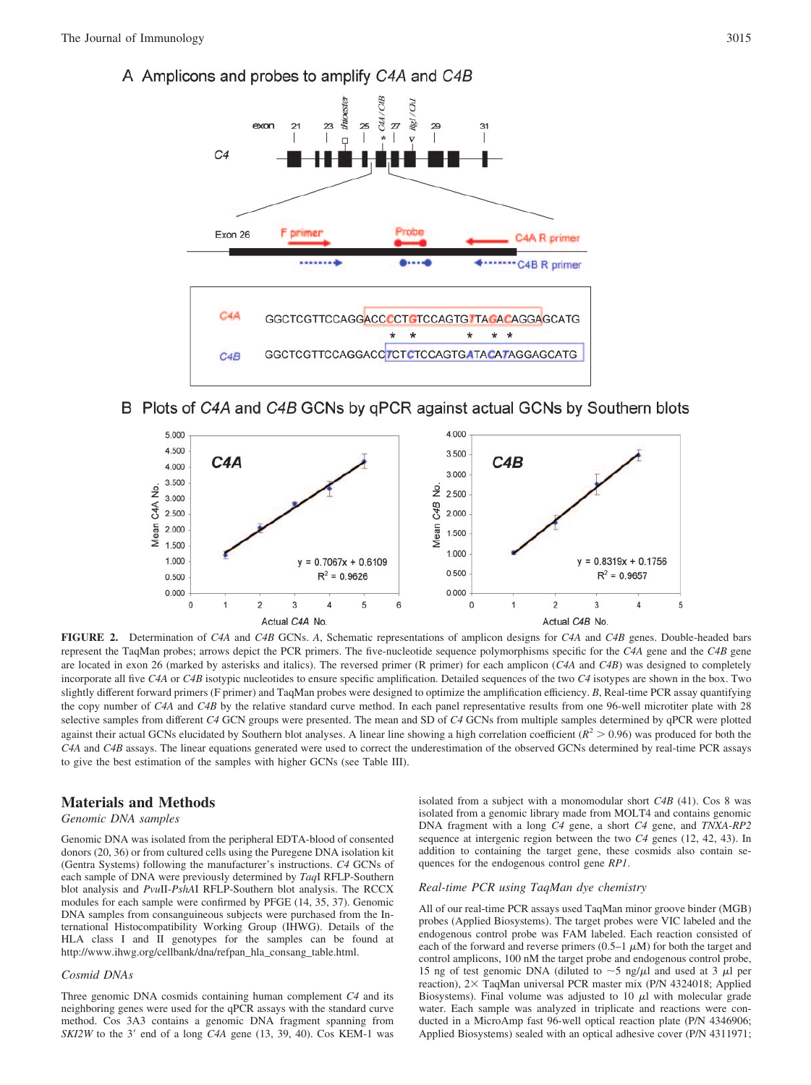



# B Plots of C4A and C4B GCNs by qPCR against actual GCNs by Southern blots



**FIGURE 2.** Determination of *C4A* and *C4B* GCNs. *A*, Schematic representations of amplicon designs for *C4A* and *C4B* genes. Double-headed bars represent the TaqMan probes; arrows depict the PCR primers. The five-nucleotide sequence polymorphisms specific for the *C4A* gene and the *C4B* gene are located in exon 26 (marked by asterisks and italics). The reversed primer (R primer) for each amplicon (*C4A* and *C4B*) was designed to completely incorporate all five *C4A* or *C4B* isotypic nucleotides to ensure specific amplification. Detailed sequences of the two *C4* isotypes are shown in the box. Two slightly different forward primers (F primer) and TaqMan probes were designed to optimize the amplification efficiency. *B*, Real-time PCR assay quantifying the copy number of *C4A* and *C4B* by the relative standard curve method. In each panel representative results from one 96-well microtiter plate with 28 selective samples from different *C4* GCN groups were presented. The mean and SD of *C4* GCNs from multiple samples determined by qPCR were plotted against their actual GCNs elucidated by Southern blot analyses. A linear line showing a high correlation coefficient  $(R^2 > 0.96)$  was produced for both the *C4A* and *C4B* assays. The linear equations generated were used to correct the underestimation of the observed GCNs determined by real-time PCR assays to give the best estimation of the samples with higher GCNs (see Table III).

# **Materials and Methods**

# *Genomic DNA samples*

Genomic DNA was isolated from the peripheral EDTA-blood of consented donors (20, 36) or from cultured cells using the Puregene DNA isolation kit (Gentra Systems) following the manufacturer's instructions. *C4* GCNs of each sample of DNA were previously determined by *Taq*I RFLP-Southern blot analysis and *Pvu*II-*PshA*I RFLP-Southern blot analysis. The RCCX modules for each sample were confirmed by PFGE (14, 35, 37). Genomic DNA samples from consanguineous subjects were purchased from the International Histocompatibility Working Group (IHWG). Details of the HLA class I and II genotypes for the samples can be found at http://www.ihwg.org/cellbank/dna/refpan\_hla\_consang\_table.html.

#### *Cosmid DNAs*

Three genomic DNA cosmids containing human complement *C4* and its neighboring genes were used for the qPCR assays with the standard curve method. Cos 3A3 contains a genomic DNA fragment spanning from *SKI2W* to the 3' end of a long *C4A* gene (13, 39, 40). Cos KEM-1 was isolated from a subject with a monomodular short *C4B* (41). Cos 8 was isolated from a genomic library made from MOLT4 and contains genomic DNA fragment with a long *C4* gene, a short *C4* gene, and *TNXA-RP2* sequence at intergenic region between the two *C4* genes (12, 42, 43). In addition to containing the target gene, these cosmids also contain sequences for the endogenous control gene *RP1*.

#### *Real-time PCR using TaqMan dye chemistry*

All of our real-time PCR assays used TaqMan minor groove binder (MGB) probes (Applied Biosystems). The target probes were VIC labeled and the endogenous control probe was FAM labeled. Each reaction consisted of each of the forward and reverse primers  $(0.5-1 \mu M)$  for both the target and control amplicons, 100 nM the target probe and endogenous control probe, 15 ng of test genomic DNA (diluted to  $\sim$  5 ng/ $\mu$ l and used at 3  $\mu$ l per reaction),  $2 \times$  TaqMan universal PCR master mix (P/N 4324018; Applied Biosystems). Final volume was adjusted to 10  $\mu$ l with molecular grade water. Each sample was analyzed in triplicate and reactions were conducted in a MicroAmp fast 96-well optical reaction plate (P/N 4346906; Applied Biosystems) sealed with an optical adhesive cover (P/N 4311971;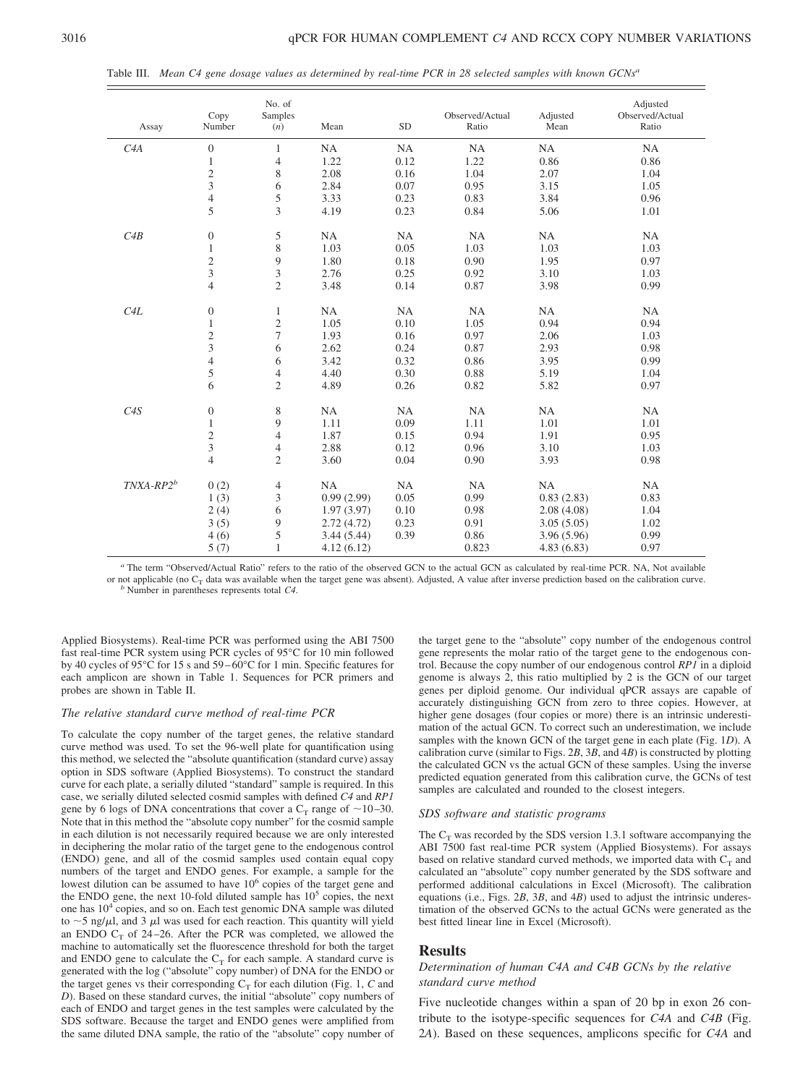Table III. *Mean C4 gene dosage values as determined by real-time PCR in 28 selected samples with known GCNs<sup>a</sup>*

| Assay        | Copy<br>Number   | No. of<br>Samples<br>(n) | Mean       | $\operatorname{SD}$ | Observed/Actual<br>Ratio | Adjusted<br>Mean | Adjusted<br>Observed/Actual<br>Ratio |
|--------------|------------------|--------------------------|------------|---------------------|--------------------------|------------------|--------------------------------------|
| C4A          | $\boldsymbol{0}$ | $\mathbf{1}$             | NA         | NA                  | NA                       | NA               | NA                                   |
|              | 1                | $\overline{\mathcal{L}}$ | 1.22       | 0.12                | 1.22                     | 0.86             | 0.86                                 |
|              | $\overline{c}$   | 8                        | 2.08       | 0.16                | 1.04                     | 2.07             | 1.04                                 |
|              | 3                | 6                        | 2.84       | 0.07                | 0.95                     | 3.15             | 1.05                                 |
|              | $\overline{4}$   | 5                        | 3.33       | 0.23                | 0.83                     | 3.84             | 0.96                                 |
|              | 5                | 3                        | 4.19       | 0.23                | 0.84                     | 5.06             | 1.01                                 |
| C4B          | $\boldsymbol{0}$ | 5                        | NA         | NA                  | NA                       | NA               | NA                                   |
|              | 1                | 8                        | 1.03       | 0.05                | 1.03                     | 1.03             | 1.03                                 |
|              | $\mathfrak{2}$   | 9                        | 1.80       | 0.18                | 0.90                     | 1.95             | 0.97                                 |
|              | 3                | 3                        | 2.76       | 0.25                | 0.92                     | 3.10             | 1.03                                 |
|              | $\overline{4}$   | $\overline{c}$           | 3.48       | 0.14                | 0.87                     | 3.98             | 0.99                                 |
| C4L          | $\boldsymbol{0}$ | $\mathbf{1}$             | NA         | NA                  | NA                       | NA               | <b>NA</b>                            |
|              | 1                | $\mathfrak{2}$           | 1.05       | 0.10                | 1.05                     | 0.94             | 0.94                                 |
|              | $\mathfrak{2}$   | 7                        | 1.93       | 0.16                | 0.97                     | 2.06             | 1.03                                 |
|              | 3                | 6                        | 2.62       | 0.24                | 0.87                     | 2.93             | 0.98                                 |
|              | $\overline{4}$   | 6                        | 3.42       | 0.32                | 0.86                     | 3.95             | 0.99                                 |
|              | 5                | $\overline{4}$           | 4.40       | 0.30                | 0.88                     | 5.19             | 1.04                                 |
|              | 6                | $\overline{c}$           | 4.89       | 0.26                | 0.82                     | 5.82             | 0.97                                 |
| C4S          | $\boldsymbol{0}$ | $\,$ 8 $\,$              | NA         | NA                  | NA                       | NA               | NA                                   |
|              | 1                | 9                        | 1.11       | 0.09                | 1.11                     | 1.01             | 1.01                                 |
|              | $\mathfrak{2}$   | $\overline{4}$           | 1.87       | 0.15                | 0.94                     | 1.91             | 0.95                                 |
|              | 3                | $\overline{4}$           | 2.88       | 0.12                | 0.96                     | 3.10             | 1.03                                 |
|              | $\overline{4}$   | $\overline{2}$           | 3.60       | 0.04                | 0.90                     | 3.93             | 0.98                                 |
| $TNXA-RP2^b$ | 0(2)             | $\overline{4}$           | <b>NA</b>  | NA                  | <b>NA</b>                | <b>NA</b>        | <b>NA</b>                            |
|              | 1(3)             | 3                        | 0.99(2.99) | 0.05                | 0.99                     | 0.83(2.83)       | 0.83                                 |
|              | 2(4)             | 6                        | 1.97(3.97) | 0.10                | 0.98                     | 2.08(4.08)       | 1.04                                 |
|              | 3(5)             | 9                        | 2.72(4.72) | 0.23                | 0.91                     | 3.05(5.05)       | 1.02                                 |
|              | 4(6)             | $\mathfrak s$            | 3.44(5.44) | 0.39                | 0.86                     | 3.96 (5.96)      | 0.99                                 |
|              | 5(7)             | $\mathbf{1}$             | 4.12(6.12) |                     | 0.823                    | 4.83(6.83)       | 0.97                                 |

*<sup>a</sup>* The term "Observed/Actual Ratio" refers to the ratio of the observed GCN to the actual GCN as calculated by real-time PCR. NA, Not available or not applicable (no C<sub>T</sub> data was available when the target gene was absent). Adjusted, A value after inverse prediction based on the calibration curve. *b* Number in parentheses represents total *C4*.

Applied Biosystems). Real-time PCR was performed using the ABI 7500 fast real-time PCR system using PCR cycles of 95°C for 10 min followed by 40 cycles of 95°C for 15 s and 59 – 60°C for 1 min. Specific features for each amplicon are shown in Table 1. Sequences for PCR primers and probes are shown in Table II.

#### *The relative standard curve method of real-time PCR*

To calculate the copy number of the target genes, the relative standard curve method was used. To set the 96-well plate for quantification using this method, we selected the "absolute quantification (standard curve) assay option in SDS software (Applied Biosystems). To construct the standard curve for each plate, a serially diluted "standard" sample is required. In this case, we serially diluted selected cosmid samples with defined *C4* and *RP1* gene by 6 logs of DNA concentrations that cover a  $C_T$  range of  $\sim$ 10–30. Note that in this method the "absolute copy number" for the cosmid sample in each dilution is not necessarily required because we are only interested in deciphering the molar ratio of the target gene to the endogenous control (ENDO) gene, and all of the cosmid samples used contain equal copy numbers of the target and ENDO genes. For example, a sample for the lowest dilution can be assumed to have 10<sup>6</sup> copies of the target gene and the ENDO gene, the next 10-fold diluted sample has 10<sup>5</sup> copies, the next one has 10<sup>4</sup> copies, and so on. Each test genomic DNA sample was diluted to  $\sim$  5 ng/ $\mu$ l, and 3  $\mu$ l was used for each reaction. This quantity will yield an ENDO  $C_T$  of 24–26. After the PCR was completed, we allowed the machine to automatically set the fluorescence threshold for both the target and ENDO gene to calculate the  $C_T$  for each sample. A standard curve is generated with the log ("absolute" copy number) of DNA for the ENDO or the target genes vs their corresponding  $C_T$  for each dilution (Fig. 1, *C* and *D*). Based on these standard curves, the initial "absolute" copy numbers of each of ENDO and target genes in the test samples were calculated by the SDS software. Because the target and ENDO genes were amplified from the same diluted DNA sample, the ratio of the "absolute" copy number of the target gene to the "absolute" copy number of the endogenous control gene represents the molar ratio of the target gene to the endogenous control. Because the copy number of our endogenous control *RP1* in a diploid genome is always 2, this ratio multiplied by 2 is the GCN of our target genes per diploid genome. Our individual qPCR assays are capable of accurately distinguishing GCN from zero to three copies. However, at higher gene dosages (four copies or more) there is an intrinsic underestimation of the actual GCN. To correct such an underestimation, we include samples with the known GCN of the target gene in each plate (Fig. 1*D*). A calibration curve (similar to Figs. 2*B*, 3*B*, and 4*B*) is constructed by plotting the calculated GCN vs the actual GCN of these samples. Using the inverse predicted equation generated from this calibration curve, the GCNs of test samples are calculated and rounded to the closest integers.

#### *SDS software and statistic programs*

The  $C_T$  was recorded by the SDS version 1.3.1 software accompanying the ABI 7500 fast real-time PCR system (Applied Biosystems). For assays based on relative standard curved methods, we imported data with  $C_T$  and calculated an "absolute" copy number generated by the SDS software and performed additional calculations in Excel (Microsoft). The calibration equations (i.e., Figs. 2*B*, 3*B*, and 4*B*) used to adjust the intrinsic underestimation of the observed GCNs to the actual GCNs were generated as the best fitted linear line in Excel (Microsoft).

#### **Results**

## *Determination of human C4A and C4B GCNs by the relative standard curve method*

Five nucleotide changes within a span of 20 bp in exon 26 contribute to the isotype-specific sequences for *C4A* and *C4B* (Fig. 2*A*). Based on these sequences, amplicons specific for *C4A* and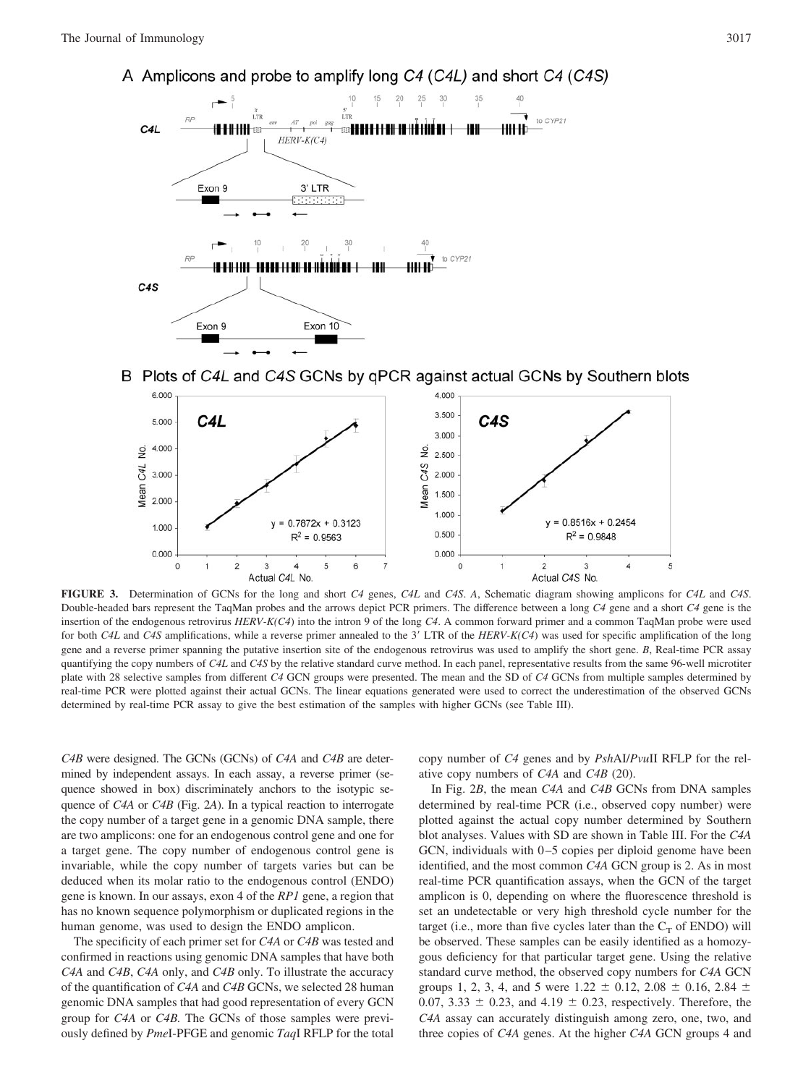A Amplicons and probe to amplify long C4 (C4L) and short C4 (C4S)



B Plots of C4L and C4S GCNs by qPCR against actual GCNs by Southern blots



**FIGURE 3.** Determination of GCNs for the long and short *C4* genes, *C4L* and *C4S*. *A*, Schematic diagram showing amplicons for *C4L* and *C4S*. Double-headed bars represent the TaqMan probes and the arrows depict PCR primers. The difference between a long *C4* gene and a short *C4* gene is the insertion of the endogenous retrovirus *HERV-K(C4*) into the intron 9 of the long *C4*. A common forward primer and a common TaqMan probe were used for both *C4L* and *C4S* amplifications, while a reverse primer annealed to the 3' LTR of the *HERV-K(C4*) was used for specific amplification of the long gene and a reverse primer spanning the putative insertion site of the endogenous retrovirus was used to amplify the short gene. *B*, Real-time PCR assay quantifying the copy numbers of *C4L* and *C4S* by the relative standard curve method. In each panel, representative results from the same 96-well microtiter plate with 28 selective samples from different *C4* GCN groups were presented. The mean and the SD of *C4* GCNs from multiple samples determined by real-time PCR were plotted against their actual GCNs. The linear equations generated were used to correct the underestimation of the observed GCNs determined by real-time PCR assay to give the best estimation of the samples with higher GCNs (see Table III).

*C4B* were designed. The GCNs (GCNs) of *C4A* and *C4B* are determined by independent assays. In each assay, a reverse primer (sequence showed in box) discriminately anchors to the isotypic sequence of *C4A* or *C4B* (Fig. 2*A*). In a typical reaction to interrogate the copy number of a target gene in a genomic DNA sample, there are two amplicons: one for an endogenous control gene and one for a target gene. The copy number of endogenous control gene is invariable, while the copy number of targets varies but can be deduced when its molar ratio to the endogenous control (ENDO) gene is known. In our assays, exon 4 of the *RP1* gene, a region that has no known sequence polymorphism or duplicated regions in the human genome, was used to design the ENDO amplicon.

The specificity of each primer set for *C4A* or *C4B* was tested and confirmed in reactions using genomic DNA samples that have both *C4A* and *C4B*, *C4A* only, and *C4B* only. To illustrate the accuracy of the quantification of *C4A* and *C4B* GCNs, we selected 28 human genomic DNA samples that had good representation of every GCN group for *C4A* or *C4B.* The GCNs of those samples were previously defined by *Pme*I-PFGE and genomic *Taq*I RFLP for the total

copy number of *C4* genes and by *Psh*AI/*Pvu*II RFLP for the relative copy numbers of *C4A* and *C4B* (20).

In Fig. 2*B*, the mean *C4A* and *C4B* GCNs from DNA samples determined by real-time PCR (i.e., observed copy number) were plotted against the actual copy number determined by Southern blot analyses. Values with SD are shown in Table III. For the *C4A* GCN, individuals with 0-5 copies per diploid genome have been identified, and the most common *C4A* GCN group is 2. As in most real-time PCR quantification assays, when the GCN of the target amplicon is 0, depending on where the fluorescence threshold is set an undetectable or very high threshold cycle number for the target (i.e., more than five cycles later than the  $C_T$  of ENDO) will be observed. These samples can be easily identified as a homozygous deficiency for that particular target gene. Using the relative standard curve method, the observed copy numbers for *C4A* GCN groups 1, 2, 3, 4, and 5 were 1.22  $\pm$  0.12, 2.08  $\pm$  0.16, 2.84  $\pm$ 0.07, 3.33  $\pm$  0.23, and 4.19  $\pm$  0.23, respectively. Therefore, the *C4A* assay can accurately distinguish among zero, one, two, and three copies of *C4A* genes. At the higher *C4A* GCN groups 4 and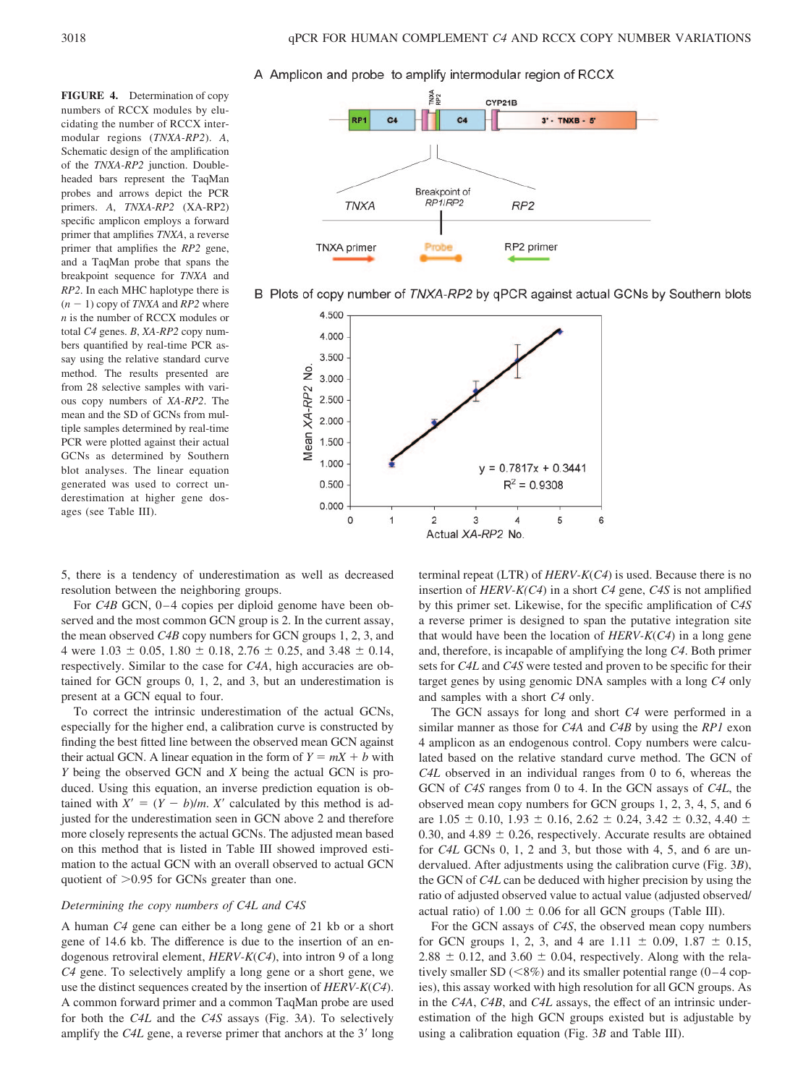## A Amplicon and probe to amplify intermodular region of RCCX

**FIGURE 4.** Determination of copy numbers of RCCX modules by elucidating the number of RCCX intermodular regions (*TNXA-RP2*). *A*, Schematic design of the amplification of the *TNXA-RP2* junction. Doubleheaded bars represent the TaqMan probes and arrows depict the PCR primers. *A*, *TNXA-RP2* (XA-RP2) specific amplicon employs a forward primer that amplifies *TNXA*, a reverse primer that amplifies the *RP2* gene, and a TaqMan probe that spans the breakpoint sequence for *TNXA* and *RP2*. In each MHC haplotype there is  $(n - 1)$  copy of *TNXA* and *RP2* where *n* is the number of RCCX modules or total *C4* genes. *B*, *XA-RP2* copy numbers quantified by real-time PCR assay using the relative standard curve method. The results presented are from 28 selective samples with various copy numbers of *XA-RP2*. The mean and the SD of GCNs from multiple samples determined by real-time PCR were plotted against their actual GCNs as determined by Southern blot analyses. The linear equation generated was used to correct underestimation at higher gene dosages (see Table III).







5, there is a tendency of underestimation as well as decreased resolution between the neighboring groups.

For *C4B* GCN, 0-4 copies per diploid genome have been observed and the most common GCN group is 2. In the current assay, the mean observed *C4B* copy numbers for GCN groups 1, 2, 3, and 4 were  $1.03 \pm 0.05$ ,  $1.80 \pm 0.18$ ,  $2.76 \pm 0.25$ , and  $3.48 \pm 0.14$ , respectively. Similar to the case for *C4A*, high accuracies are obtained for GCN groups 0, 1, 2, and 3, but an underestimation is present at a GCN equal to four.

To correct the intrinsic underestimation of the actual GCNs, especially for the higher end, a calibration curve is constructed by finding the best fitted line between the observed mean GCN against their actual GCN. A linear equation in the form of  $Y = mX + b$  with *Y* being the observed GCN and *X* being the actual GCN is produced. Using this equation, an inverse prediction equation is obtained with  $X' = (Y - b)/m$ . *X'* calculated by this method is adjusted for the underestimation seen in GCN above 2 and therefore more closely represents the actual GCNs. The adjusted mean based on this method that is listed in Table III showed improved estimation to the actual GCN with an overall observed to actual GCN quotient of  $>0.95$  for GCNs greater than one.

#### *Determining the copy numbers of C4L and C4S*

A human *C4* gene can either be a long gene of 21 kb or a short gene of 14.6 kb. The difference is due to the insertion of an endogenous retroviral element, *HERV-K*(*C4*), into intron 9 of a long *C4* gene. To selectively amplify a long gene or a short gene, we use the distinct sequences created by the insertion of *HERV-K*(*C4*). A common forward primer and a common TaqMan probe are used for both the *C4L* and the *C4S* assays (Fig. 3*A*). To selectively amplify the *C4L* gene, a reverse primer that anchors at the 3' long terminal repeat (LTR) of *HERV-K*(*C4*) is used. Because there is no insertion of *HERV-K(C4*) in a short *C4* gene, *C4S* is not amplified by this primer set. Likewise, for the specific amplification of C*4S* a reverse primer is designed to span the putative integration site that would have been the location of *HERV-K*(*C4*) in a long gene and, therefore, is incapable of amplifying the long *C4*. Both primer sets for *C4L* and *C4S* were tested and proven to be specific for their target genes by using genomic DNA samples with a long *C4* only and samples with a short *C4* only.

The GCN assays for long and short *C4* were performed in a similar manner as those for *C4A* and *C4B* by using the *RP1* exon 4 amplicon as an endogenous control. Copy numbers were calculated based on the relative standard curve method. The GCN of *C4L* observed in an individual ranges from 0 to 6, whereas the GCN of *C4S* ranges from 0 to 4. In the GCN assays of *C4L*, the observed mean copy numbers for GCN groups 1, 2, 3, 4, 5, and 6 are  $1.05 \pm 0.10$ ,  $1.93 \pm 0.16$ ,  $2.62 \pm 0.24$ ,  $3.42 \pm 0.32$ ,  $4.40 \pm 0.32$ 0.30, and 4.89  $\pm$  0.26, respectively. Accurate results are obtained for *C4L* GCNs 0, 1, 2 and 3, but those with 4, 5, and 6 are undervalued. After adjustments using the calibration curve (Fig. 3*B*), the GCN of *C4L* can be deduced with higher precision by using the ratio of adjusted observed value to actual value (adjusted observed/ actual ratio) of  $1.00 \pm 0.06$  for all GCN groups (Table III).

For the GCN assays of *C4S*, the observed mean copy numbers for GCN groups 1, 2, 3, and 4 are  $1.11 \pm 0.09$ ,  $1.87 \pm 0.15$ , 2.88  $\pm$  0.12, and 3.60  $\pm$  0.04, respectively. Along with the relatively smaller SD  $(< 8\%)$  and its smaller potential range  $(0 - 4$  copies), this assay worked with high resolution for all GCN groups. As in the *C4A*, *C4B*, and *C4L* assays, the effect of an intrinsic underestimation of the high GCN groups existed but is adjustable by using a calibration equation (Fig. 3*B* and Table III).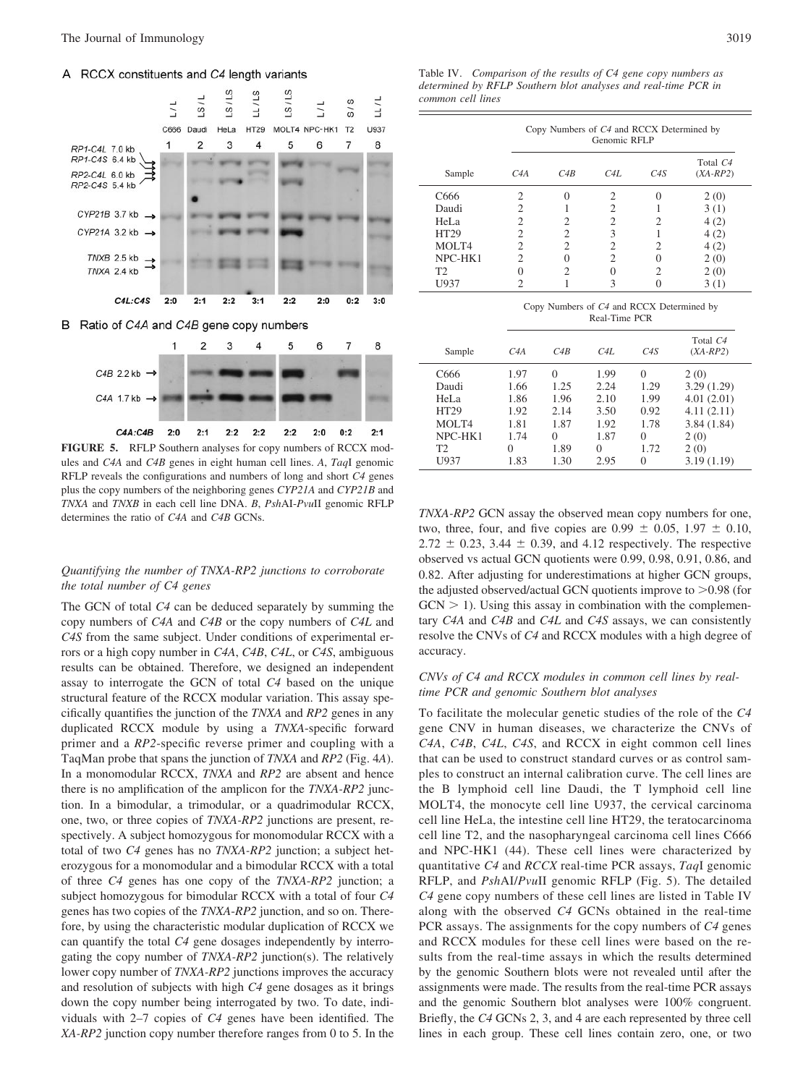$CAA:CAB$ 

#### A RCCX constituents and C4 length variants



 $2:0$  $2:2$  $2:2$  $2:0$ **FIGURE 5.** RFLP Southern analyses for copy numbers of RCCX modules and *C4A* and *C4B* genes in eight human cell lines. *A*, *Taq*I genomic RFLP reveals the configurations and numbers of long and short *C4* genes plus the copy numbers of the neighboring genes *CYP21A* and *CYP21B* and *TNXA* and *TNXB* in each cell line DNA. *B*, *Psh*AI-*Pvu*II genomic RFLP determines the ratio of *C4A* and *C4B* GCNs.

 $2:2$ 

 $2:1$ 

 $2:1$ 

 $0:2$ 

# *Quantifying the number of TNXA-RP2 junctions to corroborate the total number of C4 genes*

The GCN of total *C4* can be deduced separately by summing the copy numbers of *C4A* and *C4B* or the copy numbers of *C4L* and *C4S* from the same subject. Under conditions of experimental errors or a high copy number in *C4A*, *C4B*, *C4L*, or *C4S*, ambiguous results can be obtained. Therefore, we designed an independent assay to interrogate the GCN of total *C4* based on the unique structural feature of the RCCX modular variation. This assay specifically quantifies the junction of the *TNXA* and *RP2* genes in any duplicated RCCX module by using a *TNXA*-specific forward primer and a *RP2*-specific reverse primer and coupling with a TaqMan probe that spans the junction of *TNXA* and *RP2* (Fig. 4*A*). In a monomodular RCCX, *TNXA* and *RP2* are absent and hence there is no amplification of the amplicon for the *TNXA-RP2* junction. In a bimodular, a trimodular, or a quadrimodular RCCX, one, two, or three copies of *TNXA-RP2* junctions are present, respectively. A subject homozygous for monomodular RCCX with a total of two *C4* genes has no *TNXA-RP2* junction; a subject heterozygous for a monomodular and a bimodular RCCX with a total of three *C4* genes has one copy of the *TNXA*-*RP2* junction; a subject homozygous for bimodular RCCX with a total of four *C4* genes has two copies of the *TNXA*-*RP2* junction, and so on. Therefore, by using the characteristic modular duplication of RCCX we can quantify the total *C4* gene dosages independently by interrogating the copy number of *TNXA-RP2* junction(s). The relatively lower copy number of *TNXA-RP2* junctions improves the accuracy and resolution of subjects with high *C4* gene dosages as it brings down the copy number being interrogated by two. To date, individuals with 2–7 copies of *C4* genes have been identified. The *XA-RP2* junction copy number therefore ranges from 0 to 5. In the

|                  | Copy Numbers of C4 and RCCX Determined by<br>Genomic RFLP |     |     |     |                        |  |  |
|------------------|-----------------------------------------------------------|-----|-----|-----|------------------------|--|--|
| Sample           | C <sub>4</sub> A                                          | C4B | C4L | C4S | Total C4<br>$(XA-RP2)$ |  |  |
| C <sub>666</sub> | 2                                                         |     | 2   |     | 2(0)                   |  |  |
| Daudi            | 2                                                         |     | 2   |     | 3(1)                   |  |  |
| HeLa             |                                                           |     | 2   | 2   | 4(2)                   |  |  |
| HT29             | 2                                                         | ာ   | 3   |     | 4(2)                   |  |  |
| MOLT4            | 2                                                         | ↑   | 2   | 2   | 4(2)                   |  |  |
| NPC-HK1          | 2                                                         |     | 2   |     | 2(0)                   |  |  |
| T <sub>2</sub>   |                                                           | ∍   |     | 2   | 2(0)                   |  |  |
| U937             |                                                           |     |     |     |                        |  |  |

Copy Numbers of *C4* and RCCX Determined by Real-Time PCR

| Sample           | C <sub>4</sub> A | C4B      | C4L      | C4S      | Total C4<br>$(XA-RP2)$ |
|------------------|------------------|----------|----------|----------|------------------------|
| C666             | 1.97             | $\Omega$ | 1.99     | $\Omega$ | 2(0)                   |
| Daudi            | 1.66             | 1.25     | 2.24     | 1.29     | 3.29(1.29)             |
| HeLa             | 1.86             | 1.96     | 2.10     | 1.99     | 4.01(2.01)             |
| HT29             | 1.92             | 2.14     | 3.50     | 0.92     | 4.11(2.11)             |
| MOLT4            | 1.81             | 1.87     | 1.92     | 1.78     | 3.84(1.84)             |
| NPC-HK1          | 1.74             | $\Omega$ | 1.87     | $\Omega$ | 2(0)                   |
| T2               | 0                | 1.89     | $\Omega$ | 1.72     | 2(0)                   |
| U <sub>937</sub> | 1.83             | 1.30     | 2.95     | $\Omega$ | 3.19(1.19)             |

*TNXA-RP2* GCN assay the observed mean copy numbers for one, two, three, four, and five copies are  $0.99 \pm 0.05$ ,  $1.97 \pm 0.10$ ,  $2.72 \pm 0.23$ ,  $3.44 \pm 0.39$ , and  $4.12$  respectively. The respective observed vs actual GCN quotients were 0.99, 0.98, 0.91, 0.86, and 0.82. After adjusting for underestimations at higher GCN groups, the adjusted observed/actual GCN quotients improve to  $>0.98$  (for  $GCN > 1$ ). Using this assay in combination with the complementary *C4A* and *C4B* and *C4L* and *C4S* assays, we can consistently resolve the CNVs of *C4* and RCCX modules with a high degree of accuracy.

# *CNVs of C4 and RCCX modules in common cell lines by realtime PCR and genomic Southern blot analyses*

To facilitate the molecular genetic studies of the role of the *C4* gene CNV in human diseases, we characterize the CNVs of *C4A*, *C4B*, *C4L*, *C4S*, and RCCX in eight common cell lines that can be used to construct standard curves or as control samples to construct an internal calibration curve. The cell lines are the B lymphoid cell line Daudi, the T lymphoid cell line MOLT4, the monocyte cell line U937, the cervical carcinoma cell line HeLa, the intestine cell line HT29, the teratocarcinoma cell line T2, and the nasopharyngeal carcinoma cell lines C666 and NPC-HK1 (44). These cell lines were characterized by quantitative *C4* and *RCCX* real-time PCR assays, *Taq*I genomic RFLP, and *Psh*AI/*Pvu*II genomic RFLP (Fig. 5). The detailed *C4* gene copy numbers of these cell lines are listed in Table IV along with the observed *C4* GCNs obtained in the real-time PCR assays. The assignments for the copy numbers of *C4* genes and RCCX modules for these cell lines were based on the results from the real-time assays in which the results determined by the genomic Southern blots were not revealed until after the assignments were made. The results from the real-time PCR assays and the genomic Southern blot analyses were 100% congruent. Briefly, the *C4* GCNs 2, 3, and 4 are each represented by three cell lines in each group. These cell lines contain zero, one, or two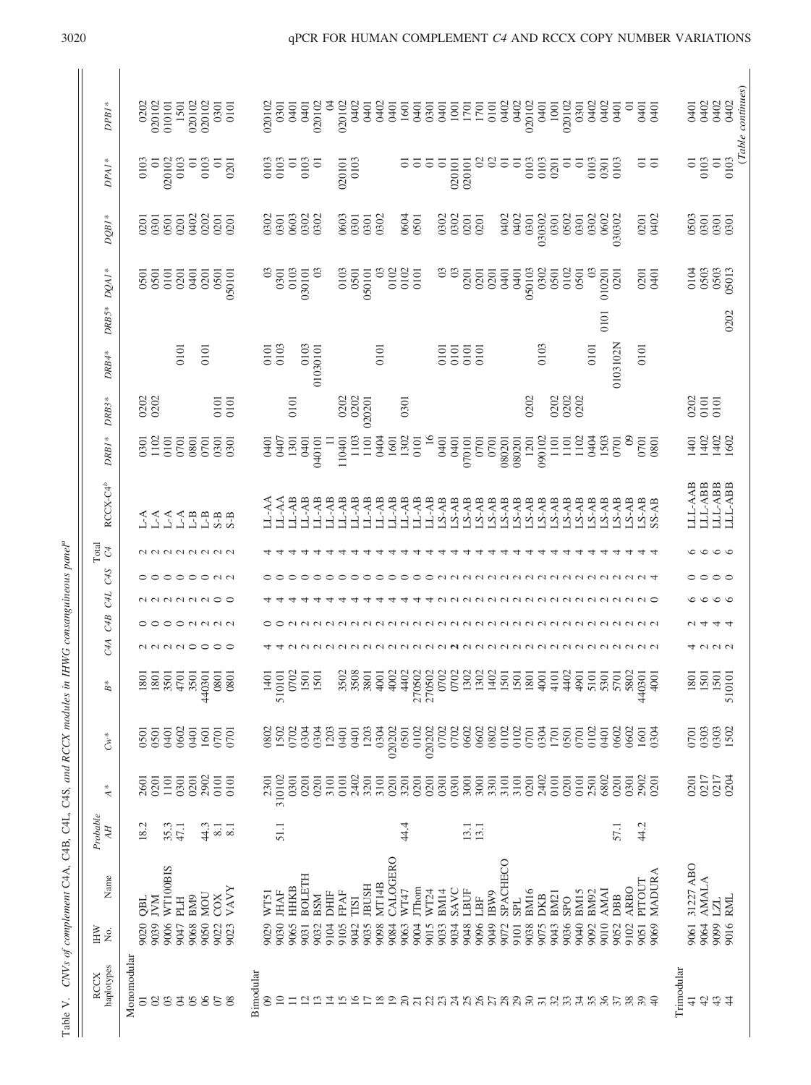| (Table continues)<br>0402<br>0402<br>020102<br>020102<br>020102<br>$\beta$<br>020102<br>0402<br>0402<br>0402<br>020102<br>020102<br>0402<br>0401<br>0402<br>0202<br>010101<br>1501<br>0101<br>020102<br>0401<br>0401<br>020102<br>0401<br>0402<br>1001<br>0402<br>0401<br>0301<br><b>DHO1</b><br>1601<br><b>DHO1</b><br>1701<br>0101<br>0401<br>0301<br>$\overline{\circ}$<br>0301<br>1001<br>1701<br>0401<br><b>DHO</b><br>0301<br><b>GHO</b><br>0103<br>0103<br>0103<br>0103<br>S<br>$\Omega$<br>$\overline{\phantom{0}}$<br>$\overline{0}$<br>020102<br>0103<br>0103<br>0103<br>0103<br>0103<br>0103<br>0103<br>0103<br>0201<br>0103<br>020101<br>020101<br>$\overline{\circ}$<br>$\overline{0}$<br>$\overline{\circ}$<br>5 5<br>$\overline{\circ}$<br>$\overline{\circ}$<br>$\overline{\circ}$<br>$\overline{\circ}$<br>$\overline{\circ}$<br>5<br>ᇹ<br>$\overline{\circ}$<br>020101<br>0201<br>$\overline{\circ}$<br>0301<br>ට<br>0402<br>0603<br>0604<br>0302<br>0502<br>0402<br>0202<br>0302<br>0302<br>0302<br>0603<br>0302<br>0302<br>0402<br>0402<br>030302<br>0302<br>0602<br>0503<br>0301<br>0301<br>0501<br>0201<br>0201<br>0201<br>0301<br>0301<br>0301<br>0201<br>0301<br>0201<br>0301<br>0501<br>0301<br>0301<br>030302<br>0201<br>0201<br>0102<br>$\mathfrak{S}$<br>0104<br>0503<br>0503<br>DRB5* DQA1*<br>$\mathfrak{S}$<br>0103<br>0103<br>0102<br>0102<br>05013<br>030101<br>$\mathfrak{S}$<br>0501<br>$\mathfrak{S}$<br>0201<br>050103<br>0302<br>$\mathfrak{S}$<br>0301<br>S<br>0101<br>050101<br>0201<br>0401<br>0401<br>0501<br>0501<br>0401<br>0501<br>0101<br>0201<br>0401<br>050101<br>0201<br>010201<br>0201<br>0201<br>0201<br>0501<br>0501<br>0202<br>0101<br>0103102N<br>0103<br>0103<br>0103<br>0101<br>0101<br>0101<br>01030101<br>0101<br>0101<br>0101<br>0101<br>0101<br>0101<br>0101<br>0202<br>0202<br>0202<br>0202<br>0202<br>0301<br>0202<br>0202<br>0202<br>0101<br>0101<br>0202<br>0101<br>020201<br>0101<br>0101<br>1302<br>1402<br>1602<br>1102<br>1103<br>$\frac{6}{1}$<br>090102<br>1402<br>0404<br>1102<br>0404<br>1503<br>$\degree$<br>0301<br>1101<br>1201<br>0801<br>0301<br>0407<br>1301<br>0401<br>0101<br>070101<br>1101<br>0701<br>0801<br>1401<br>0101<br>0701<br>0701<br>110401<br>1601<br>0401<br>0401<br>0701<br>0701<br>080201<br>080201<br>1101<br>0301<br>0701<br>0401<br>040101<br>LL-AAB<br>LLL-ABB<br>LLL-ABB<br>LLL-ABB<br>T-AA<br>LL-AB<br>$LL-AB$<br>$LL-AB$<br>LL-AB<br>$LL-AB$<br>LL-AB<br>$LL-AB$<br>$LL-AB$<br>$LL-AB$<br>$LL-AB$<br>$LL-AB$<br>LL-AB<br>L-AA<br>LS-AB<br>$LS-AB$<br>$LS-AB$<br>$LS-AB$<br>$LS-AB$<br>$LS-AB$<br>LS-AB<br>$LS-AB$<br>LS-AB<br>LS-AB<br>LS-AB<br>LS-AB<br>LS-AB<br>$-$ S-AB<br>LS-AB<br>LS-AB<br>LS-AB<br>SS-AB<br>$\mathbb{B}$<br>گ<br>د<br>$\widetilde{L}$<br>$\tilde{\mathcal{L}}$<br>$\mathbb{L}^B$<br>$S-B$<br>Ŀ<br>$\mathcal{C}^{\mathcal{A}}$<br>$\circ$<br>aaaaaaaa<br>4<br>७<br>↤<br>↤<br>ᆉ<br>C <sub>4</sub> S<br>$\circ \circ \circ$<br>$O$ $N$ $N$<br>$\circ$<br>$\circ$<br>aaaaaaaaaaaaaaa<br>$\circ$<br>$\circ$<br>$\circ$<br>$\sim$<br>C4A C4B C4L<br>aaaaaaoo<br>$\circ$<br>७<br>₹<br>₹<br>↽<br>0000000<br>$\circ$<br>$\circ$<br>00000000000000000000000000000<br>N N<br>4<br>₹<br>aaaaoooo<br>$\sim$<br>$\sim$<br>$\sim$<br>$\sim$<br>$\sim$<br>$\sim$<br>$\sim$<br>$\sim$ $\sim$<br>$\mathbf{\Omega}$<br>$\sim$<br>$\sim$<br>$\sim$<br>$\sim$<br>$\sim$<br>$\begin{array}{c} \n 0 & \n 0 & \n \end{array}$<br>$\sim$ $\sim$<br><b>ANNA</b><br>$\sim$ $\sim$<br>$\sim$ $\sim$<br>0702<br>4402<br>270502<br>270502<br>0702<br>0702<br>302<br>302<br>402<br>$4001$<br>$4101$<br>$4402$<br>$4701$<br>$3501$<br>$440301$<br>501<br>3502<br>3508<br>3801<br>501<br>501<br>$\begin{array}{l} 4901 \\ 5101 \\ 5301 \\ 5701 \\ 502 \\ 5802 \end{array}$<br>501<br>510101<br>501<br>4001<br>801<br>440301<br>801<br>1501<br>510101<br>801<br>3501<br>0801<br>1401<br>4001<br>801<br>0801<br>0602<br>0702<br>0702<br>0304<br>0102<br>020202<br>0702<br>0602<br>0602<br>0802<br>0102<br>0102<br>0701<br>0303<br>0303<br>1502<br>0401<br>0802<br>1502<br>1203<br>0304<br>020202<br>0304<br>0102<br>0602<br>0401<br>1601<br>0304<br>1203<br>0501<br>0701<br>1701<br>0501<br>0701<br>0401<br>0602<br>1601<br>0304<br>0501<br>0701<br>0401<br>0401<br>0501<br>0701<br>2902<br>310102<br>0217<br>0217<br>0204<br>2301<br>0301<br>0201<br>0101<br>2402<br>2402<br>6802<br>1101<br>0301<br>0201<br>3101<br>3101<br>0201<br>0101<br>$0201$<br>$0101$<br>0201<br>0201<br>0101<br>0201<br>3201<br>0201<br>3201<br>0201<br>0301<br>$\begin{matrix} 501 \\ 300 \\ 300 \\ 301 \\ 500 \\ 100 \\ 0 \end{matrix}$<br>2501<br>0201<br>2902<br>0201<br>0101<br>3101<br>2601<br>44.2<br>4<br>4<br>18.2<br>$\frac{8.1}{8.1}$<br>35.3<br>44.3<br>$\frac{13.1}{13.1}$<br>57.1<br>$\overline{5}1.1$<br>47.1<br>CALOGERO<br>SPACHECO<br>31227 ABO<br>WT100BIS<br>MADURA<br><b>BOLETH</b><br><b>AMALA</b><br>PITOUT<br>MT14B<br><b>JBUSH</b><br>HHKB<br><b>VAVY</b><br>JThom<br><b>ARBO</b><br><b>AMAI</b><br>SAVC<br>IBW9<br>WT47<br>WT24<br>LBUF<br><b>BM16</b><br>FPAF<br><b>BM14</b><br>BM15<br><b>BM92</b><br>WT51<br><b>JHAF</b><br>DHIF<br><b>BM21</b><br>NOU<br>DBB<br><b>BSM</b><br>DKB<br>BM9<br>COX<br><b>IVM</b><br>TISI<br>LBF<br>RML<br>PLH<br><b>SPL</b><br><b>SPO</b><br>LZL<br>ОBL<br>9039<br>9006<br>9050<br>9029<br>9030<br>9099<br>9016<br>9096<br>9010<br>9068<br>9065<br>9049<br>9040<br>9069<br>9061<br>9064<br>9004<br>9052<br>9102<br>9020<br>9031<br>9063<br>9048<br>9047<br>9023<br>9072<br>9105<br>9035<br>9098<br>9084<br>9034<br>9101<br>9038<br>9043<br>9036<br>9092<br>9051<br>9022<br>9032<br>9104<br>9015<br>9033<br>9042<br>9075<br>Monomodular<br>Trimodular<br>Bimodular | <b>RCCX</b> | Ě           | Probable |             |        |   |  | Total |            |       |         |       |  |          |          |         |
|-------------------------------------------------------------------------------------------------------------------------------------------------------------------------------------------------------------------------------------------------------------------------------------------------------------------------------------------------------------------------------------------------------------------------------------------------------------------------------------------------------------------------------------------------------------------------------------------------------------------------------------------------------------------------------------------------------------------------------------------------------------------------------------------------------------------------------------------------------------------------------------------------------------------------------------------------------------------------------------------------------------------------------------------------------------------------------------------------------------------------------------------------------------------------------------------------------------------------------------------------------------------------------------------------------------------------------------------------------------------------------------------------------------------------------------------------------------------------------------------------------------------------------------------------------------------------------------------------------------------------------------------------------------------------------------------------------------------------------------------------------------------------------------------------------------------------------------------------------------------------------------------------------------------------------------------------------------------------------------------------------------------------------------------------------------------------------------------------------------------------------------------------------------------------------------------------------------------------------------------------------------------------------------------------------------------------------------------------------------------------------------------------------------------------------------------------------------------------------------------------------------------------------------------------------------------------------------------------------------------------------------------------------------------------------------------------------------------------------------------------------------------------------------------------------------------------------------------------------------------------------------------------------------------------------------------------------------------------------------------------------------------------------------------------------------------------------------------------------------------------------------------------------------------------------------------------------------------------------------------------------------------------------------------------------------------------------------------------------------------------------------------------------------------------------------------------------------------------------------------------------------------------------------------------------------------------------------------------------------------------------------------------------------------------------------------------------------------------------------------------------------------------------------------------------------------------------------------------------------------------------------------------------------------------------------------------------------------------------------------------------------------------------------------------------------------------------------------------------------------------------------------------------------------------------------------------------------------------------------------------------------------------------------------------------------------------------------------------------------------------------------------------------------------------------------------------------------------------------------------------------------------------------------------------------------------------------------------------------------------------------------------------------------------------------------------------------------------------------------------------------------------------------------------------------------------------------------------------------------------------------------------------------------------------------------------------------------------------------------------------------------------------------------------------------------------------------------------------------------------------------------------------------------------------------------------------------------------------------------------------------------------------------------------------------------------------------------------------------------------------------------------------------------------------------------------------------------------------------------------------------------------------------------------------------------------------------------------------------------------------------------------------------------------------------------------------|-------------|-------------|----------|-------------|--------|---|--|-------|------------|-------|---------|-------|--|----------|----------|---------|
|                                                                                                                                                                                                                                                                                                                                                                                                                                                                                                                                                                                                                                                                                                                                                                                                                                                                                                                                                                                                                                                                                                                                                                                                                                                                                                                                                                                                                                                                                                                                                                                                                                                                                                                                                                                                                                                                                                                                                                                                                                                                                                                                                                                                                                                                                                                                                                                                                                                                                                                                                                                                                                                                                                                                                                                                                                                                                                                                                                                                                                                                                                                                                                                                                                                                                                                                                                                                                                                                                                                                                                                                                                                                                                                                                                                                                                                                                                                                                                                                                                                                                                                                                                                                                                                                                                                                                                                                                                                                                                                                                                                                                                                                                                                                                                                                                                                                                                                                                                                                                                                                                                                                                                                                                                                                                                                                                                                                                                                                                                                                                                                                                                                                                                 | haplotypes  | Name<br>Σò, | AH       | $\Lambda^*$ | $Cw^*$ | ₩ |  |       | $RCCX-C4b$ | DRBI* | $DRB3*$ | DRB4* |  | $DQBI^*$ | $DPAI^*$ | $DPB1*$ |
|                                                                                                                                                                                                                                                                                                                                                                                                                                                                                                                                                                                                                                                                                                                                                                                                                                                                                                                                                                                                                                                                                                                                                                                                                                                                                                                                                                                                                                                                                                                                                                                                                                                                                                                                                                                                                                                                                                                                                                                                                                                                                                                                                                                                                                                                                                                                                                                                                                                                                                                                                                                                                                                                                                                                                                                                                                                                                                                                                                                                                                                                                                                                                                                                                                                                                                                                                                                                                                                                                                                                                                                                                                                                                                                                                                                                                                                                                                                                                                                                                                                                                                                                                                                                                                                                                                                                                                                                                                                                                                                                                                                                                                                                                                                                                                                                                                                                                                                                                                                                                                                                                                                                                                                                                                                                                                                                                                                                                                                                                                                                                                                                                                                                                                 |             |             |          |             |        |   |  |       |            |       |         |       |  |          |          |         |
|                                                                                                                                                                                                                                                                                                                                                                                                                                                                                                                                                                                                                                                                                                                                                                                                                                                                                                                                                                                                                                                                                                                                                                                                                                                                                                                                                                                                                                                                                                                                                                                                                                                                                                                                                                                                                                                                                                                                                                                                                                                                                                                                                                                                                                                                                                                                                                                                                                                                                                                                                                                                                                                                                                                                                                                                                                                                                                                                                                                                                                                                                                                                                                                                                                                                                                                                                                                                                                                                                                                                                                                                                                                                                                                                                                                                                                                                                                                                                                                                                                                                                                                                                                                                                                                                                                                                                                                                                                                                                                                                                                                                                                                                                                                                                                                                                                                                                                                                                                                                                                                                                                                                                                                                                                                                                                                                                                                                                                                                                                                                                                                                                                                                                                 |             |             |          |             |        |   |  |       |            |       |         |       |  |          |          |         |
|                                                                                                                                                                                                                                                                                                                                                                                                                                                                                                                                                                                                                                                                                                                                                                                                                                                                                                                                                                                                                                                                                                                                                                                                                                                                                                                                                                                                                                                                                                                                                                                                                                                                                                                                                                                                                                                                                                                                                                                                                                                                                                                                                                                                                                                                                                                                                                                                                                                                                                                                                                                                                                                                                                                                                                                                                                                                                                                                                                                                                                                                                                                                                                                                                                                                                                                                                                                                                                                                                                                                                                                                                                                                                                                                                                                                                                                                                                                                                                                                                                                                                                                                                                                                                                                                                                                                                                                                                                                                                                                                                                                                                                                                                                                                                                                                                                                                                                                                                                                                                                                                                                                                                                                                                                                                                                                                                                                                                                                                                                                                                                                                                                                                                                 |             |             |          |             |        |   |  |       |            |       |         |       |  |          |          |         |
|                                                                                                                                                                                                                                                                                                                                                                                                                                                                                                                                                                                                                                                                                                                                                                                                                                                                                                                                                                                                                                                                                                                                                                                                                                                                                                                                                                                                                                                                                                                                                                                                                                                                                                                                                                                                                                                                                                                                                                                                                                                                                                                                                                                                                                                                                                                                                                                                                                                                                                                                                                                                                                                                                                                                                                                                                                                                                                                                                                                                                                                                                                                                                                                                                                                                                                                                                                                                                                                                                                                                                                                                                                                                                                                                                                                                                                                                                                                                                                                                                                                                                                                                                                                                                                                                                                                                                                                                                                                                                                                                                                                                                                                                                                                                                                                                                                                                                                                                                                                                                                                                                                                                                                                                                                                                                                                                                                                                                                                                                                                                                                                                                                                                                                 |             |             |          |             |        |   |  |       |            |       |         |       |  |          |          |         |
|                                                                                                                                                                                                                                                                                                                                                                                                                                                                                                                                                                                                                                                                                                                                                                                                                                                                                                                                                                                                                                                                                                                                                                                                                                                                                                                                                                                                                                                                                                                                                                                                                                                                                                                                                                                                                                                                                                                                                                                                                                                                                                                                                                                                                                                                                                                                                                                                                                                                                                                                                                                                                                                                                                                                                                                                                                                                                                                                                                                                                                                                                                                                                                                                                                                                                                                                                                                                                                                                                                                                                                                                                                                                                                                                                                                                                                                                                                                                                                                                                                                                                                                                                                                                                                                                                                                                                                                                                                                                                                                                                                                                                                                                                                                                                                                                                                                                                                                                                                                                                                                                                                                                                                                                                                                                                                                                                                                                                                                                                                                                                                                                                                                                                                 |             |             |          |             |        |   |  |       |            |       |         |       |  |          |          |         |
|                                                                                                                                                                                                                                                                                                                                                                                                                                                                                                                                                                                                                                                                                                                                                                                                                                                                                                                                                                                                                                                                                                                                                                                                                                                                                                                                                                                                                                                                                                                                                                                                                                                                                                                                                                                                                                                                                                                                                                                                                                                                                                                                                                                                                                                                                                                                                                                                                                                                                                                                                                                                                                                                                                                                                                                                                                                                                                                                                                                                                                                                                                                                                                                                                                                                                                                                                                                                                                                                                                                                                                                                                                                                                                                                                                                                                                                                                                                                                                                                                                                                                                                                                                                                                                                                                                                                                                                                                                                                                                                                                                                                                                                                                                                                                                                                                                                                                                                                                                                                                                                                                                                                                                                                                                                                                                                                                                                                                                                                                                                                                                                                                                                                                                 |             |             |          |             |        |   |  |       |            |       |         |       |  |          |          |         |
|                                                                                                                                                                                                                                                                                                                                                                                                                                                                                                                                                                                                                                                                                                                                                                                                                                                                                                                                                                                                                                                                                                                                                                                                                                                                                                                                                                                                                                                                                                                                                                                                                                                                                                                                                                                                                                                                                                                                                                                                                                                                                                                                                                                                                                                                                                                                                                                                                                                                                                                                                                                                                                                                                                                                                                                                                                                                                                                                                                                                                                                                                                                                                                                                                                                                                                                                                                                                                                                                                                                                                                                                                                                                                                                                                                                                                                                                                                                                                                                                                                                                                                                                                                                                                                                                                                                                                                                                                                                                                                                                                                                                                                                                                                                                                                                                                                                                                                                                                                                                                                                                                                                                                                                                                                                                                                                                                                                                                                                                                                                                                                                                                                                                                                 |             |             |          |             |        |   |  |       |            |       |         |       |  |          |          |         |
|                                                                                                                                                                                                                                                                                                                                                                                                                                                                                                                                                                                                                                                                                                                                                                                                                                                                                                                                                                                                                                                                                                                                                                                                                                                                                                                                                                                                                                                                                                                                                                                                                                                                                                                                                                                                                                                                                                                                                                                                                                                                                                                                                                                                                                                                                                                                                                                                                                                                                                                                                                                                                                                                                                                                                                                                                                                                                                                                                                                                                                                                                                                                                                                                                                                                                                                                                                                                                                                                                                                                                                                                                                                                                                                                                                                                                                                                                                                                                                                                                                                                                                                                                                                                                                                                                                                                                                                                                                                                                                                                                                                                                                                                                                                                                                                                                                                                                                                                                                                                                                                                                                                                                                                                                                                                                                                                                                                                                                                                                                                                                                                                                                                                                                 |             |             |          |             |        |   |  |       |            |       |         |       |  |          |          |         |
|                                                                                                                                                                                                                                                                                                                                                                                                                                                                                                                                                                                                                                                                                                                                                                                                                                                                                                                                                                                                                                                                                                                                                                                                                                                                                                                                                                                                                                                                                                                                                                                                                                                                                                                                                                                                                                                                                                                                                                                                                                                                                                                                                                                                                                                                                                                                                                                                                                                                                                                                                                                                                                                                                                                                                                                                                                                                                                                                                                                                                                                                                                                                                                                                                                                                                                                                                                                                                                                                                                                                                                                                                                                                                                                                                                                                                                                                                                                                                                                                                                                                                                                                                                                                                                                                                                                                                                                                                                                                                                                                                                                                                                                                                                                                                                                                                                                                                                                                                                                                                                                                                                                                                                                                                                                                                                                                                                                                                                                                                                                                                                                                                                                                                                 |             |             |          |             |        |   |  |       |            |       |         |       |  |          |          |         |
|                                                                                                                                                                                                                                                                                                                                                                                                                                                                                                                                                                                                                                                                                                                                                                                                                                                                                                                                                                                                                                                                                                                                                                                                                                                                                                                                                                                                                                                                                                                                                                                                                                                                                                                                                                                                                                                                                                                                                                                                                                                                                                                                                                                                                                                                                                                                                                                                                                                                                                                                                                                                                                                                                                                                                                                                                                                                                                                                                                                                                                                                                                                                                                                                                                                                                                                                                                                                                                                                                                                                                                                                                                                                                                                                                                                                                                                                                                                                                                                                                                                                                                                                                                                                                                                                                                                                                                                                                                                                                                                                                                                                                                                                                                                                                                                                                                                                                                                                                                                                                                                                                                                                                                                                                                                                                                                                                                                                                                                                                                                                                                                                                                                                                                 |             |             |          |             |        |   |  |       |            |       |         |       |  |          |          |         |
|                                                                                                                                                                                                                                                                                                                                                                                                                                                                                                                                                                                                                                                                                                                                                                                                                                                                                                                                                                                                                                                                                                                                                                                                                                                                                                                                                                                                                                                                                                                                                                                                                                                                                                                                                                                                                                                                                                                                                                                                                                                                                                                                                                                                                                                                                                                                                                                                                                                                                                                                                                                                                                                                                                                                                                                                                                                                                                                                                                                                                                                                                                                                                                                                                                                                                                                                                                                                                                                                                                                                                                                                                                                                                                                                                                                                                                                                                                                                                                                                                                                                                                                                                                                                                                                                                                                                                                                                                                                                                                                                                                                                                                                                                                                                                                                                                                                                                                                                                                                                                                                                                                                                                                                                                                                                                                                                                                                                                                                                                                                                                                                                                                                                                                 |             |             |          |             |        |   |  |       |            |       |         |       |  |          |          |         |
|                                                                                                                                                                                                                                                                                                                                                                                                                                                                                                                                                                                                                                                                                                                                                                                                                                                                                                                                                                                                                                                                                                                                                                                                                                                                                                                                                                                                                                                                                                                                                                                                                                                                                                                                                                                                                                                                                                                                                                                                                                                                                                                                                                                                                                                                                                                                                                                                                                                                                                                                                                                                                                                                                                                                                                                                                                                                                                                                                                                                                                                                                                                                                                                                                                                                                                                                                                                                                                                                                                                                                                                                                                                                                                                                                                                                                                                                                                                                                                                                                                                                                                                                                                                                                                                                                                                                                                                                                                                                                                                                                                                                                                                                                                                                                                                                                                                                                                                                                                                                                                                                                                                                                                                                                                                                                                                                                                                                                                                                                                                                                                                                                                                                                                 |             |             |          |             |        |   |  |       |            |       |         |       |  |          |          |         |
|                                                                                                                                                                                                                                                                                                                                                                                                                                                                                                                                                                                                                                                                                                                                                                                                                                                                                                                                                                                                                                                                                                                                                                                                                                                                                                                                                                                                                                                                                                                                                                                                                                                                                                                                                                                                                                                                                                                                                                                                                                                                                                                                                                                                                                                                                                                                                                                                                                                                                                                                                                                                                                                                                                                                                                                                                                                                                                                                                                                                                                                                                                                                                                                                                                                                                                                                                                                                                                                                                                                                                                                                                                                                                                                                                                                                                                                                                                                                                                                                                                                                                                                                                                                                                                                                                                                                                                                                                                                                                                                                                                                                                                                                                                                                                                                                                                                                                                                                                                                                                                                                                                                                                                                                                                                                                                                                                                                                                                                                                                                                                                                                                                                                                                 |             |             |          |             |        |   |  |       |            |       |         |       |  |          |          |         |
|                                                                                                                                                                                                                                                                                                                                                                                                                                                                                                                                                                                                                                                                                                                                                                                                                                                                                                                                                                                                                                                                                                                                                                                                                                                                                                                                                                                                                                                                                                                                                                                                                                                                                                                                                                                                                                                                                                                                                                                                                                                                                                                                                                                                                                                                                                                                                                                                                                                                                                                                                                                                                                                                                                                                                                                                                                                                                                                                                                                                                                                                                                                                                                                                                                                                                                                                                                                                                                                                                                                                                                                                                                                                                                                                                                                                                                                                                                                                                                                                                                                                                                                                                                                                                                                                                                                                                                                                                                                                                                                                                                                                                                                                                                                                                                                                                                                                                                                                                                                                                                                                                                                                                                                                                                                                                                                                                                                                                                                                                                                                                                                                                                                                                                 |             |             |          |             |        |   |  |       |            |       |         |       |  |          |          |         |
|                                                                                                                                                                                                                                                                                                                                                                                                                                                                                                                                                                                                                                                                                                                                                                                                                                                                                                                                                                                                                                                                                                                                                                                                                                                                                                                                                                                                                                                                                                                                                                                                                                                                                                                                                                                                                                                                                                                                                                                                                                                                                                                                                                                                                                                                                                                                                                                                                                                                                                                                                                                                                                                                                                                                                                                                                                                                                                                                                                                                                                                                                                                                                                                                                                                                                                                                                                                                                                                                                                                                                                                                                                                                                                                                                                                                                                                                                                                                                                                                                                                                                                                                                                                                                                                                                                                                                                                                                                                                                                                                                                                                                                                                                                                                                                                                                                                                                                                                                                                                                                                                                                                                                                                                                                                                                                                                                                                                                                                                                                                                                                                                                                                                                                 |             |             |          |             |        |   |  |       |            |       |         |       |  |          |          |         |
|                                                                                                                                                                                                                                                                                                                                                                                                                                                                                                                                                                                                                                                                                                                                                                                                                                                                                                                                                                                                                                                                                                                                                                                                                                                                                                                                                                                                                                                                                                                                                                                                                                                                                                                                                                                                                                                                                                                                                                                                                                                                                                                                                                                                                                                                                                                                                                                                                                                                                                                                                                                                                                                                                                                                                                                                                                                                                                                                                                                                                                                                                                                                                                                                                                                                                                                                                                                                                                                                                                                                                                                                                                                                                                                                                                                                                                                                                                                                                                                                                                                                                                                                                                                                                                                                                                                                                                                                                                                                                                                                                                                                                                                                                                                                                                                                                                                                                                                                                                                                                                                                                                                                                                                                                                                                                                                                                                                                                                                                                                                                                                                                                                                                                                 |             |             |          |             |        |   |  |       |            |       |         |       |  |          |          |         |
|                                                                                                                                                                                                                                                                                                                                                                                                                                                                                                                                                                                                                                                                                                                                                                                                                                                                                                                                                                                                                                                                                                                                                                                                                                                                                                                                                                                                                                                                                                                                                                                                                                                                                                                                                                                                                                                                                                                                                                                                                                                                                                                                                                                                                                                                                                                                                                                                                                                                                                                                                                                                                                                                                                                                                                                                                                                                                                                                                                                                                                                                                                                                                                                                                                                                                                                                                                                                                                                                                                                                                                                                                                                                                                                                                                                                                                                                                                                                                                                                                                                                                                                                                                                                                                                                                                                                                                                                                                                                                                                                                                                                                                                                                                                                                                                                                                                                                                                                                                                                                                                                                                                                                                                                                                                                                                                                                                                                                                                                                                                                                                                                                                                                                                 |             |             |          |             |        |   |  |       |            |       |         |       |  |          |          |         |
|                                                                                                                                                                                                                                                                                                                                                                                                                                                                                                                                                                                                                                                                                                                                                                                                                                                                                                                                                                                                                                                                                                                                                                                                                                                                                                                                                                                                                                                                                                                                                                                                                                                                                                                                                                                                                                                                                                                                                                                                                                                                                                                                                                                                                                                                                                                                                                                                                                                                                                                                                                                                                                                                                                                                                                                                                                                                                                                                                                                                                                                                                                                                                                                                                                                                                                                                                                                                                                                                                                                                                                                                                                                                                                                                                                                                                                                                                                                                                                                                                                                                                                                                                                                                                                                                                                                                                                                                                                                                                                                                                                                                                                                                                                                                                                                                                                                                                                                                                                                                                                                                                                                                                                                                                                                                                                                                                                                                                                                                                                                                                                                                                                                                                                 |             |             |          |             |        |   |  |       |            |       |         |       |  |          |          |         |
|                                                                                                                                                                                                                                                                                                                                                                                                                                                                                                                                                                                                                                                                                                                                                                                                                                                                                                                                                                                                                                                                                                                                                                                                                                                                                                                                                                                                                                                                                                                                                                                                                                                                                                                                                                                                                                                                                                                                                                                                                                                                                                                                                                                                                                                                                                                                                                                                                                                                                                                                                                                                                                                                                                                                                                                                                                                                                                                                                                                                                                                                                                                                                                                                                                                                                                                                                                                                                                                                                                                                                                                                                                                                                                                                                                                                                                                                                                                                                                                                                                                                                                                                                                                                                                                                                                                                                                                                                                                                                                                                                                                                                                                                                                                                                                                                                                                                                                                                                                                                                                                                                                                                                                                                                                                                                                                                                                                                                                                                                                                                                                                                                                                                                                 |             |             |          |             |        |   |  |       |            |       |         |       |  |          |          |         |
|                                                                                                                                                                                                                                                                                                                                                                                                                                                                                                                                                                                                                                                                                                                                                                                                                                                                                                                                                                                                                                                                                                                                                                                                                                                                                                                                                                                                                                                                                                                                                                                                                                                                                                                                                                                                                                                                                                                                                                                                                                                                                                                                                                                                                                                                                                                                                                                                                                                                                                                                                                                                                                                                                                                                                                                                                                                                                                                                                                                                                                                                                                                                                                                                                                                                                                                                                                                                                                                                                                                                                                                                                                                                                                                                                                                                                                                                                                                                                                                                                                                                                                                                                                                                                                                                                                                                                                                                                                                                                                                                                                                                                                                                                                                                                                                                                                                                                                                                                                                                                                                                                                                                                                                                                                                                                                                                                                                                                                                                                                                                                                                                                                                                                                 |             |             |          |             |        |   |  |       |            |       |         |       |  |          |          |         |
|                                                                                                                                                                                                                                                                                                                                                                                                                                                                                                                                                                                                                                                                                                                                                                                                                                                                                                                                                                                                                                                                                                                                                                                                                                                                                                                                                                                                                                                                                                                                                                                                                                                                                                                                                                                                                                                                                                                                                                                                                                                                                                                                                                                                                                                                                                                                                                                                                                                                                                                                                                                                                                                                                                                                                                                                                                                                                                                                                                                                                                                                                                                                                                                                                                                                                                                                                                                                                                                                                                                                                                                                                                                                                                                                                                                                                                                                                                                                                                                                                                                                                                                                                                                                                                                                                                                                                                                                                                                                                                                                                                                                                                                                                                                                                                                                                                                                                                                                                                                                                                                                                                                                                                                                                                                                                                                                                                                                                                                                                                                                                                                                                                                                                                 |             |             |          |             |        |   |  |       |            |       |         |       |  |          |          |         |
|                                                                                                                                                                                                                                                                                                                                                                                                                                                                                                                                                                                                                                                                                                                                                                                                                                                                                                                                                                                                                                                                                                                                                                                                                                                                                                                                                                                                                                                                                                                                                                                                                                                                                                                                                                                                                                                                                                                                                                                                                                                                                                                                                                                                                                                                                                                                                                                                                                                                                                                                                                                                                                                                                                                                                                                                                                                                                                                                                                                                                                                                                                                                                                                                                                                                                                                                                                                                                                                                                                                                                                                                                                                                                                                                                                                                                                                                                                                                                                                                                                                                                                                                                                                                                                                                                                                                                                                                                                                                                                                                                                                                                                                                                                                                                                                                                                                                                                                                                                                                                                                                                                                                                                                                                                                                                                                                                                                                                                                                                                                                                                                                                                                                                                 |             |             |          |             |        |   |  |       |            |       |         |       |  |          |          |         |
|                                                                                                                                                                                                                                                                                                                                                                                                                                                                                                                                                                                                                                                                                                                                                                                                                                                                                                                                                                                                                                                                                                                                                                                                                                                                                                                                                                                                                                                                                                                                                                                                                                                                                                                                                                                                                                                                                                                                                                                                                                                                                                                                                                                                                                                                                                                                                                                                                                                                                                                                                                                                                                                                                                                                                                                                                                                                                                                                                                                                                                                                                                                                                                                                                                                                                                                                                                                                                                                                                                                                                                                                                                                                                                                                                                                                                                                                                                                                                                                                                                                                                                                                                                                                                                                                                                                                                                                                                                                                                                                                                                                                                                                                                                                                                                                                                                                                                                                                                                                                                                                                                                                                                                                                                                                                                                                                                                                                                                                                                                                                                                                                                                                                                                 |             |             |          |             |        |   |  |       |            |       |         |       |  |          |          |         |
|                                                                                                                                                                                                                                                                                                                                                                                                                                                                                                                                                                                                                                                                                                                                                                                                                                                                                                                                                                                                                                                                                                                                                                                                                                                                                                                                                                                                                                                                                                                                                                                                                                                                                                                                                                                                                                                                                                                                                                                                                                                                                                                                                                                                                                                                                                                                                                                                                                                                                                                                                                                                                                                                                                                                                                                                                                                                                                                                                                                                                                                                                                                                                                                                                                                                                                                                                                                                                                                                                                                                                                                                                                                                                                                                                                                                                                                                                                                                                                                                                                                                                                                                                                                                                                                                                                                                                                                                                                                                                                                                                                                                                                                                                                                                                                                                                                                                                                                                                                                                                                                                                                                                                                                                                                                                                                                                                                                                                                                                                                                                                                                                                                                                                                 |             |             |          |             |        |   |  |       |            |       |         |       |  |          |          |         |
|                                                                                                                                                                                                                                                                                                                                                                                                                                                                                                                                                                                                                                                                                                                                                                                                                                                                                                                                                                                                                                                                                                                                                                                                                                                                                                                                                                                                                                                                                                                                                                                                                                                                                                                                                                                                                                                                                                                                                                                                                                                                                                                                                                                                                                                                                                                                                                                                                                                                                                                                                                                                                                                                                                                                                                                                                                                                                                                                                                                                                                                                                                                                                                                                                                                                                                                                                                                                                                                                                                                                                                                                                                                                                                                                                                                                                                                                                                                                                                                                                                                                                                                                                                                                                                                                                                                                                                                                                                                                                                                                                                                                                                                                                                                                                                                                                                                                                                                                                                                                                                                                                                                                                                                                                                                                                                                                                                                                                                                                                                                                                                                                                                                                                                 |             |             |          |             |        |   |  |       |            |       |         |       |  |          |          |         |
|                                                                                                                                                                                                                                                                                                                                                                                                                                                                                                                                                                                                                                                                                                                                                                                                                                                                                                                                                                                                                                                                                                                                                                                                                                                                                                                                                                                                                                                                                                                                                                                                                                                                                                                                                                                                                                                                                                                                                                                                                                                                                                                                                                                                                                                                                                                                                                                                                                                                                                                                                                                                                                                                                                                                                                                                                                                                                                                                                                                                                                                                                                                                                                                                                                                                                                                                                                                                                                                                                                                                                                                                                                                                                                                                                                                                                                                                                                                                                                                                                                                                                                                                                                                                                                                                                                                                                                                                                                                                                                                                                                                                                                                                                                                                                                                                                                                                                                                                                                                                                                                                                                                                                                                                                                                                                                                                                                                                                                                                                                                                                                                                                                                                                                 |             |             |          |             |        |   |  |       |            |       |         |       |  |          |          |         |
|                                                                                                                                                                                                                                                                                                                                                                                                                                                                                                                                                                                                                                                                                                                                                                                                                                                                                                                                                                                                                                                                                                                                                                                                                                                                                                                                                                                                                                                                                                                                                                                                                                                                                                                                                                                                                                                                                                                                                                                                                                                                                                                                                                                                                                                                                                                                                                                                                                                                                                                                                                                                                                                                                                                                                                                                                                                                                                                                                                                                                                                                                                                                                                                                                                                                                                                                                                                                                                                                                                                                                                                                                                                                                                                                                                                                                                                                                                                                                                                                                                                                                                                                                                                                                                                                                                                                                                                                                                                                                                                                                                                                                                                                                                                                                                                                                                                                                                                                                                                                                                                                                                                                                                                                                                                                                                                                                                                                                                                                                                                                                                                                                                                                                                 |             |             |          |             |        |   |  |       |            |       |         |       |  |          |          |         |
|                                                                                                                                                                                                                                                                                                                                                                                                                                                                                                                                                                                                                                                                                                                                                                                                                                                                                                                                                                                                                                                                                                                                                                                                                                                                                                                                                                                                                                                                                                                                                                                                                                                                                                                                                                                                                                                                                                                                                                                                                                                                                                                                                                                                                                                                                                                                                                                                                                                                                                                                                                                                                                                                                                                                                                                                                                                                                                                                                                                                                                                                                                                                                                                                                                                                                                                                                                                                                                                                                                                                                                                                                                                                                                                                                                                                                                                                                                                                                                                                                                                                                                                                                                                                                                                                                                                                                                                                                                                                                                                                                                                                                                                                                                                                                                                                                                                                                                                                                                                                                                                                                                                                                                                                                                                                                                                                                                                                                                                                                                                                                                                                                                                                                                 |             |             |          |             |        |   |  |       |            |       |         |       |  |          |          |         |
|                                                                                                                                                                                                                                                                                                                                                                                                                                                                                                                                                                                                                                                                                                                                                                                                                                                                                                                                                                                                                                                                                                                                                                                                                                                                                                                                                                                                                                                                                                                                                                                                                                                                                                                                                                                                                                                                                                                                                                                                                                                                                                                                                                                                                                                                                                                                                                                                                                                                                                                                                                                                                                                                                                                                                                                                                                                                                                                                                                                                                                                                                                                                                                                                                                                                                                                                                                                                                                                                                                                                                                                                                                                                                                                                                                                                                                                                                                                                                                                                                                                                                                                                                                                                                                                                                                                                                                                                                                                                                                                                                                                                                                                                                                                                                                                                                                                                                                                                                                                                                                                                                                                                                                                                                                                                                                                                                                                                                                                                                                                                                                                                                                                                                                 |             |             |          |             |        |   |  |       |            |       |         |       |  |          |          |         |
|                                                                                                                                                                                                                                                                                                                                                                                                                                                                                                                                                                                                                                                                                                                                                                                                                                                                                                                                                                                                                                                                                                                                                                                                                                                                                                                                                                                                                                                                                                                                                                                                                                                                                                                                                                                                                                                                                                                                                                                                                                                                                                                                                                                                                                                                                                                                                                                                                                                                                                                                                                                                                                                                                                                                                                                                                                                                                                                                                                                                                                                                                                                                                                                                                                                                                                                                                                                                                                                                                                                                                                                                                                                                                                                                                                                                                                                                                                                                                                                                                                                                                                                                                                                                                                                                                                                                                                                                                                                                                                                                                                                                                                                                                                                                                                                                                                                                                                                                                                                                                                                                                                                                                                                                                                                                                                                                                                                                                                                                                                                                                                                                                                                                                                 |             |             |          |             |        |   |  |       |            |       |         |       |  |          |          |         |
|                                                                                                                                                                                                                                                                                                                                                                                                                                                                                                                                                                                                                                                                                                                                                                                                                                                                                                                                                                                                                                                                                                                                                                                                                                                                                                                                                                                                                                                                                                                                                                                                                                                                                                                                                                                                                                                                                                                                                                                                                                                                                                                                                                                                                                                                                                                                                                                                                                                                                                                                                                                                                                                                                                                                                                                                                                                                                                                                                                                                                                                                                                                                                                                                                                                                                                                                                                                                                                                                                                                                                                                                                                                                                                                                                                                                                                                                                                                                                                                                                                                                                                                                                                                                                                                                                                                                                                                                                                                                                                                                                                                                                                                                                                                                                                                                                                                                                                                                                                                                                                                                                                                                                                                                                                                                                                                                                                                                                                                                                                                                                                                                                                                                                                 |             |             |          |             |        |   |  |       |            |       |         |       |  |          |          |         |
|                                                                                                                                                                                                                                                                                                                                                                                                                                                                                                                                                                                                                                                                                                                                                                                                                                                                                                                                                                                                                                                                                                                                                                                                                                                                                                                                                                                                                                                                                                                                                                                                                                                                                                                                                                                                                                                                                                                                                                                                                                                                                                                                                                                                                                                                                                                                                                                                                                                                                                                                                                                                                                                                                                                                                                                                                                                                                                                                                                                                                                                                                                                                                                                                                                                                                                                                                                                                                                                                                                                                                                                                                                                                                                                                                                                                                                                                                                                                                                                                                                                                                                                                                                                                                                                                                                                                                                                                                                                                                                                                                                                                                                                                                                                                                                                                                                                                                                                                                                                                                                                                                                                                                                                                                                                                                                                                                                                                                                                                                                                                                                                                                                                                                                 |             |             |          |             |        |   |  |       |            |       |         |       |  |          |          |         |
|                                                                                                                                                                                                                                                                                                                                                                                                                                                                                                                                                                                                                                                                                                                                                                                                                                                                                                                                                                                                                                                                                                                                                                                                                                                                                                                                                                                                                                                                                                                                                                                                                                                                                                                                                                                                                                                                                                                                                                                                                                                                                                                                                                                                                                                                                                                                                                                                                                                                                                                                                                                                                                                                                                                                                                                                                                                                                                                                                                                                                                                                                                                                                                                                                                                                                                                                                                                                                                                                                                                                                                                                                                                                                                                                                                                                                                                                                                                                                                                                                                                                                                                                                                                                                                                                                                                                                                                                                                                                                                                                                                                                                                                                                                                                                                                                                                                                                                                                                                                                                                                                                                                                                                                                                                                                                                                                                                                                                                                                                                                                                                                                                                                                                                 |             |             |          |             |        |   |  |       |            |       |         |       |  |          |          |         |
|                                                                                                                                                                                                                                                                                                                                                                                                                                                                                                                                                                                                                                                                                                                                                                                                                                                                                                                                                                                                                                                                                                                                                                                                                                                                                                                                                                                                                                                                                                                                                                                                                                                                                                                                                                                                                                                                                                                                                                                                                                                                                                                                                                                                                                                                                                                                                                                                                                                                                                                                                                                                                                                                                                                                                                                                                                                                                                                                                                                                                                                                                                                                                                                                                                                                                                                                                                                                                                                                                                                                                                                                                                                                                                                                                                                                                                                                                                                                                                                                                                                                                                                                                                                                                                                                                                                                                                                                                                                                                                                                                                                                                                                                                                                                                                                                                                                                                                                                                                                                                                                                                                                                                                                                                                                                                                                                                                                                                                                                                                                                                                                                                                                                                                 |             |             |          |             |        |   |  |       |            |       |         |       |  |          |          |         |
|                                                                                                                                                                                                                                                                                                                                                                                                                                                                                                                                                                                                                                                                                                                                                                                                                                                                                                                                                                                                                                                                                                                                                                                                                                                                                                                                                                                                                                                                                                                                                                                                                                                                                                                                                                                                                                                                                                                                                                                                                                                                                                                                                                                                                                                                                                                                                                                                                                                                                                                                                                                                                                                                                                                                                                                                                                                                                                                                                                                                                                                                                                                                                                                                                                                                                                                                                                                                                                                                                                                                                                                                                                                                                                                                                                                                                                                                                                                                                                                                                                                                                                                                                                                                                                                                                                                                                                                                                                                                                                                                                                                                                                                                                                                                                                                                                                                                                                                                                                                                                                                                                                                                                                                                                                                                                                                                                                                                                                                                                                                                                                                                                                                                                                 |             |             |          |             |        |   |  |       |            |       |         |       |  |          |          |         |
|                                                                                                                                                                                                                                                                                                                                                                                                                                                                                                                                                                                                                                                                                                                                                                                                                                                                                                                                                                                                                                                                                                                                                                                                                                                                                                                                                                                                                                                                                                                                                                                                                                                                                                                                                                                                                                                                                                                                                                                                                                                                                                                                                                                                                                                                                                                                                                                                                                                                                                                                                                                                                                                                                                                                                                                                                                                                                                                                                                                                                                                                                                                                                                                                                                                                                                                                                                                                                                                                                                                                                                                                                                                                                                                                                                                                                                                                                                                                                                                                                                                                                                                                                                                                                                                                                                                                                                                                                                                                                                                                                                                                                                                                                                                                                                                                                                                                                                                                                                                                                                                                                                                                                                                                                                                                                                                                                                                                                                                                                                                                                                                                                                                                                                 |             |             |          |             |        |   |  |       |            |       |         |       |  |          |          |         |
|                                                                                                                                                                                                                                                                                                                                                                                                                                                                                                                                                                                                                                                                                                                                                                                                                                                                                                                                                                                                                                                                                                                                                                                                                                                                                                                                                                                                                                                                                                                                                                                                                                                                                                                                                                                                                                                                                                                                                                                                                                                                                                                                                                                                                                                                                                                                                                                                                                                                                                                                                                                                                                                                                                                                                                                                                                                                                                                                                                                                                                                                                                                                                                                                                                                                                                                                                                                                                                                                                                                                                                                                                                                                                                                                                                                                                                                                                                                                                                                                                                                                                                                                                                                                                                                                                                                                                                                                                                                                                                                                                                                                                                                                                                                                                                                                                                                                                                                                                                                                                                                                                                                                                                                                                                                                                                                                                                                                                                                                                                                                                                                                                                                                                                 |             |             |          |             |        |   |  |       |            |       |         |       |  |          |          |         |
|                                                                                                                                                                                                                                                                                                                                                                                                                                                                                                                                                                                                                                                                                                                                                                                                                                                                                                                                                                                                                                                                                                                                                                                                                                                                                                                                                                                                                                                                                                                                                                                                                                                                                                                                                                                                                                                                                                                                                                                                                                                                                                                                                                                                                                                                                                                                                                                                                                                                                                                                                                                                                                                                                                                                                                                                                                                                                                                                                                                                                                                                                                                                                                                                                                                                                                                                                                                                                                                                                                                                                                                                                                                                                                                                                                                                                                                                                                                                                                                                                                                                                                                                                                                                                                                                                                                                                                                                                                                                                                                                                                                                                                                                                                                                                                                                                                                                                                                                                                                                                                                                                                                                                                                                                                                                                                                                                                                                                                                                                                                                                                                                                                                                                                 |             |             |          |             |        |   |  |       |            |       |         |       |  |          |          |         |
|                                                                                                                                                                                                                                                                                                                                                                                                                                                                                                                                                                                                                                                                                                                                                                                                                                                                                                                                                                                                                                                                                                                                                                                                                                                                                                                                                                                                                                                                                                                                                                                                                                                                                                                                                                                                                                                                                                                                                                                                                                                                                                                                                                                                                                                                                                                                                                                                                                                                                                                                                                                                                                                                                                                                                                                                                                                                                                                                                                                                                                                                                                                                                                                                                                                                                                                                                                                                                                                                                                                                                                                                                                                                                                                                                                                                                                                                                                                                                                                                                                                                                                                                                                                                                                                                                                                                                                                                                                                                                                                                                                                                                                                                                                                                                                                                                                                                                                                                                                                                                                                                                                                                                                                                                                                                                                                                                                                                                                                                                                                                                                                                                                                                                                 |             |             |          |             |        |   |  |       |            |       |         |       |  |          |          |         |
|                                                                                                                                                                                                                                                                                                                                                                                                                                                                                                                                                                                                                                                                                                                                                                                                                                                                                                                                                                                                                                                                                                                                                                                                                                                                                                                                                                                                                                                                                                                                                                                                                                                                                                                                                                                                                                                                                                                                                                                                                                                                                                                                                                                                                                                                                                                                                                                                                                                                                                                                                                                                                                                                                                                                                                                                                                                                                                                                                                                                                                                                                                                                                                                                                                                                                                                                                                                                                                                                                                                                                                                                                                                                                                                                                                                                                                                                                                                                                                                                                                                                                                                                                                                                                                                                                                                                                                                                                                                                                                                                                                                                                                                                                                                                                                                                                                                                                                                                                                                                                                                                                                                                                                                                                                                                                                                                                                                                                                                                                                                                                                                                                                                                                                 |             |             |          |             |        |   |  |       |            |       |         |       |  |          |          |         |
|                                                                                                                                                                                                                                                                                                                                                                                                                                                                                                                                                                                                                                                                                                                                                                                                                                                                                                                                                                                                                                                                                                                                                                                                                                                                                                                                                                                                                                                                                                                                                                                                                                                                                                                                                                                                                                                                                                                                                                                                                                                                                                                                                                                                                                                                                                                                                                                                                                                                                                                                                                                                                                                                                                                                                                                                                                                                                                                                                                                                                                                                                                                                                                                                                                                                                                                                                                                                                                                                                                                                                                                                                                                                                                                                                                                                                                                                                                                                                                                                                                                                                                                                                                                                                                                                                                                                                                                                                                                                                                                                                                                                                                                                                                                                                                                                                                                                                                                                                                                                                                                                                                                                                                                                                                                                                                                                                                                                                                                                                                                                                                                                                                                                                                 |             |             |          |             |        |   |  |       |            |       |         |       |  |          |          |         |
|                                                                                                                                                                                                                                                                                                                                                                                                                                                                                                                                                                                                                                                                                                                                                                                                                                                                                                                                                                                                                                                                                                                                                                                                                                                                                                                                                                                                                                                                                                                                                                                                                                                                                                                                                                                                                                                                                                                                                                                                                                                                                                                                                                                                                                                                                                                                                                                                                                                                                                                                                                                                                                                                                                                                                                                                                                                                                                                                                                                                                                                                                                                                                                                                                                                                                                                                                                                                                                                                                                                                                                                                                                                                                                                                                                                                                                                                                                                                                                                                                                                                                                                                                                                                                                                                                                                                                                                                                                                                                                                                                                                                                                                                                                                                                                                                                                                                                                                                                                                                                                                                                                                                                                                                                                                                                                                                                                                                                                                                                                                                                                                                                                                                                                 |             |             |          |             |        |   |  |       |            |       |         |       |  |          |          |         |
|                                                                                                                                                                                                                                                                                                                                                                                                                                                                                                                                                                                                                                                                                                                                                                                                                                                                                                                                                                                                                                                                                                                                                                                                                                                                                                                                                                                                                                                                                                                                                                                                                                                                                                                                                                                                                                                                                                                                                                                                                                                                                                                                                                                                                                                                                                                                                                                                                                                                                                                                                                                                                                                                                                                                                                                                                                                                                                                                                                                                                                                                                                                                                                                                                                                                                                                                                                                                                                                                                                                                                                                                                                                                                                                                                                                                                                                                                                                                                                                                                                                                                                                                                                                                                                                                                                                                                                                                                                                                                                                                                                                                                                                                                                                                                                                                                                                                                                                                                                                                                                                                                                                                                                                                                                                                                                                                                                                                                                                                                                                                                                                                                                                                                                 |             |             |          |             |        |   |  |       |            |       |         |       |  |          |          |         |
|                                                                                                                                                                                                                                                                                                                                                                                                                                                                                                                                                                                                                                                                                                                                                                                                                                                                                                                                                                                                                                                                                                                                                                                                                                                                                                                                                                                                                                                                                                                                                                                                                                                                                                                                                                                                                                                                                                                                                                                                                                                                                                                                                                                                                                                                                                                                                                                                                                                                                                                                                                                                                                                                                                                                                                                                                                                                                                                                                                                                                                                                                                                                                                                                                                                                                                                                                                                                                                                                                                                                                                                                                                                                                                                                                                                                                                                                                                                                                                                                                                                                                                                                                                                                                                                                                                                                                                                                                                                                                                                                                                                                                                                                                                                                                                                                                                                                                                                                                                                                                                                                                                                                                                                                                                                                                                                                                                                                                                                                                                                                                                                                                                                                                                 |             |             |          |             |        |   |  |       |            |       |         |       |  |          |          |         |
|                                                                                                                                                                                                                                                                                                                                                                                                                                                                                                                                                                                                                                                                                                                                                                                                                                                                                                                                                                                                                                                                                                                                                                                                                                                                                                                                                                                                                                                                                                                                                                                                                                                                                                                                                                                                                                                                                                                                                                                                                                                                                                                                                                                                                                                                                                                                                                                                                                                                                                                                                                                                                                                                                                                                                                                                                                                                                                                                                                                                                                                                                                                                                                                                                                                                                                                                                                                                                                                                                                                                                                                                                                                                                                                                                                                                                                                                                                                                                                                                                                                                                                                                                                                                                                                                                                                                                                                                                                                                                                                                                                                                                                                                                                                                                                                                                                                                                                                                                                                                                                                                                                                                                                                                                                                                                                                                                                                                                                                                                                                                                                                                                                                                                                 |             |             |          |             |        |   |  |       |            |       |         |       |  |          |          |         |
|                                                                                                                                                                                                                                                                                                                                                                                                                                                                                                                                                                                                                                                                                                                                                                                                                                                                                                                                                                                                                                                                                                                                                                                                                                                                                                                                                                                                                                                                                                                                                                                                                                                                                                                                                                                                                                                                                                                                                                                                                                                                                                                                                                                                                                                                                                                                                                                                                                                                                                                                                                                                                                                                                                                                                                                                                                                                                                                                                                                                                                                                                                                                                                                                                                                                                                                                                                                                                                                                                                                                                                                                                                                                                                                                                                                                                                                                                                                                                                                                                                                                                                                                                                                                                                                                                                                                                                                                                                                                                                                                                                                                                                                                                                                                                                                                                                                                                                                                                                                                                                                                                                                                                                                                                                                                                                                                                                                                                                                                                                                                                                                                                                                                                                 |             |             |          |             |        |   |  |       |            |       |         |       |  |          |          |         |
|                                                                                                                                                                                                                                                                                                                                                                                                                                                                                                                                                                                                                                                                                                                                                                                                                                                                                                                                                                                                                                                                                                                                                                                                                                                                                                                                                                                                                                                                                                                                                                                                                                                                                                                                                                                                                                                                                                                                                                                                                                                                                                                                                                                                                                                                                                                                                                                                                                                                                                                                                                                                                                                                                                                                                                                                                                                                                                                                                                                                                                                                                                                                                                                                                                                                                                                                                                                                                                                                                                                                                                                                                                                                                                                                                                                                                                                                                                                                                                                                                                                                                                                                                                                                                                                                                                                                                                                                                                                                                                                                                                                                                                                                                                                                                                                                                                                                                                                                                                                                                                                                                                                                                                                                                                                                                                                                                                                                                                                                                                                                                                                                                                                                                                 |             |             |          |             |        |   |  |       |            |       |         |       |  |          |          |         |

Table V. CNVs of complement C4A, C4B, C4L, C4S, and RCCX modules in IHWG consanguineous panela Table V.  $CNs$  of complement C4A, C4B, C4S, and RCCX modules in HFWG consanguineous panel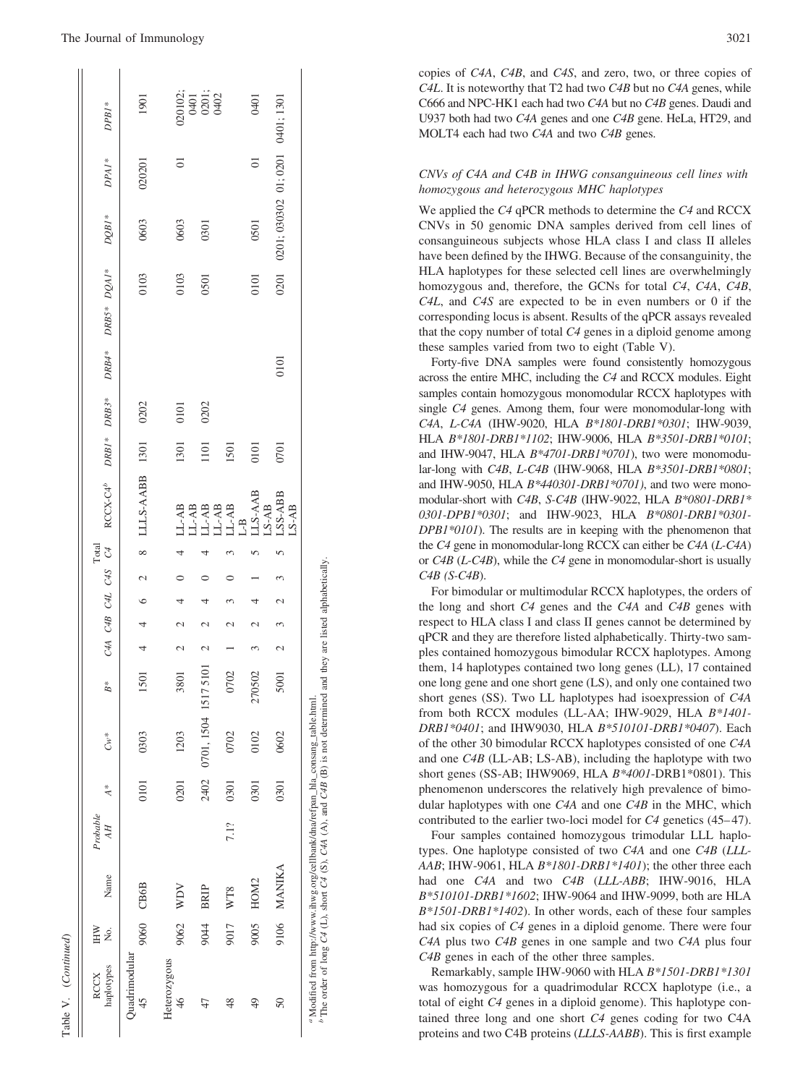| haplotypes<br><b>RCCX</b>                                                                                                                                                               | HW<br>Σó | Name             | Probable<br>AH | $\stackrel{*}{\prec}$ | $\tilde{G}^*$   | $B^*$  |                          |                |               | Total                                 | C4A C4B C4L C4S C4 RCCX-C4 <sup>b</sup> DRB1* DRB3* DRB4* DRB5* DQA1* |      |      |      |      | $DQBI*$                               | $DPAI^*$           | $DPBI*$                          |
|-----------------------------------------------------------------------------------------------------------------------------------------------------------------------------------------|----------|------------------|----------------|-----------------------|-----------------|--------|--------------------------|----------------|---------------|---------------------------------------|-----------------------------------------------------------------------|------|------|------|------|---------------------------------------|--------------------|----------------------------------|
| Ouadrimodular<br>45                                                                                                                                                                     | 9060     | <b>CB6B</b>      |                | 0101                  | 0303            | 1501   | $\overline{a}$           | $\overline{a}$ | $6\quad$      |                                       | 8 LLLS-AABB 1301                                                      |      | 0202 |      | 0103 | 0603                                  | 020201             | 1901                             |
| Heterozygous<br>$\frac{4}{6}$                                                                                                                                                           | 9062     | <b>WDV</b>       |                | 0201                  | 1203            | 3801   | $\overline{\mathcal{C}}$ | $\mathcal{L}$  | 4             |                                       |                                                                       | 1301 | 0101 |      | 0103 | 0603                                  | $\overline{\circ}$ |                                  |
| 47                                                                                                                                                                                      | 9044     | <b>BRIP</b>      |                | 2402                  | 0701, 1504 1517 | 5101   | $\sim$                   |                |               |                                       |                                                                       | 1101 | 0202 |      | 0501 | 0301                                  |                    | 020102;<br>0401<br>0201;<br>0402 |
| $^{48}$                                                                                                                                                                                 | 9017     | WT8              | 7.1?           | 0301                  | 0702            | 0702   |                          |                |               | 11-48<br>11-48<br>11-48<br>11-48      |                                                                       | 1501 |      |      |      |                                       |                    |                                  |
| $\frac{4}{9}$                                                                                                                                                                           | 9005     | HOM <sub>2</sub> |                | 0301                  | 0102            | 270502 |                          |                |               |                                       | LLS-AAB                                                               | 0101 |      |      | 0101 | 0501                                  | $\overline{\circ}$ | 0401                             |
| $50\,$                                                                                                                                                                                  |          | 9106 MANIKA      |                | 0301                  | 0602            | 5001   | $\overline{\mathcal{C}}$ |                | $\mathcal{L}$ | $L S - AB$<br>$L S S - A BB$<br>LS-AB |                                                                       | 0701 |      | 0101 |      | 0201 0201; 030302 01; 0201 0401; 1301 |                    |                                  |
| 1990年12月12日,在2012年12月12日,在1990年12月22日,1990年12月20日,1990年12月12日,1990年12月20日,1990年12月20日,1990年12月20日,19<br>" Modified from http://www.ihwg.org/cellbank/dna/refpan_hla_consang_table.html. |          |                  |                |                       |                 |        |                          |                |               |                                       |                                                                       |      |      |      |      |                                       |                    |                                  |

The order of long *C4* (L), short *C4* (S), *C4A* (A), and *C4B* (B) is not determined and they are listed alphabetically.

Table V. (

*Continued*)

Table V. (Continued)

copies of *C4A* , *C4B*, and *C4S*, and zero, two, or three copies of *C4L*. It is noteworthy that T2 had two *C4B* but no *C4A* genes, while C666 and NPC-HK1 each had two *C4A* but no *C4B* genes. Daudi and U937 both had two *C4A* genes and one *C4B* gene. HeLa, HT29, and MOLT4 each had two *C4A* and two *C4B* genes.

# *CNVs of C4A and C4B in IHWG consanguineous cell lines with homozygous and heterozygous MHC haplotypes*

We applied the *C4* qPCR methods to determine the *C4* and RCCX CNVs in 50 genomic DNA samples derived from cell lines of consanguineous subjects whose HLA class I and class II alleles have been defined by the IHWG. Because of the consanguinity, the HLA haplotypes for these selected cell lines are overwhelmingly homozygous and, therefore, the GCNs for total *C4* , *C4A* , *C4B* , *C4L*, and *C4S* are expected to be in even numbers or 0 if the corresponding locus is absent. Results of the qPCR assays revealed that the copy number of total *C4* genes in a diploid genome among these samples varied from two to eight (Table V).

Forty-five DNA samples were found consistently homozygous across the entire MHC, including the *C4* and RCCX modules. Eight samples contain homozygous monomodular RCCX haplotypes with single *C4* genes. Among them, four were monomodular-long with *C4A* , *L-C4A* (IHW-9020, HLA *B\*1801-DRB1\*0301*; IHW-9039, HLA *B\*1801-DRB1\*1102*; IHW-9006, HLA *B\*3501-DRB1\*0101* ; and IHW-9047, HLA *B\*4701-DRB1\*0701*), two were monomodular-long with *C4B*, *L-C4B* (IHW-9068, HLA *B\*3501-DRB1\*0801*; and IHW-9050, HLA *B\*440301-DRB1\*0701)*, and two were monomodular-short with *C4B*, *S-C4B* (IHW-9022, HLA *B\*0801-DRB1\* 0301-DPB1\*0301*; and IHW-9023, HLA *B\*0801-DRB1\*0301- DPB1\*0101*). The results are in keeping with the phenomenon that the *C4* gene in monomodular-long RCCX can either be *C4A* (*L-C4A* ) or *C4B* (*L-C4B*), while the *C4* gene in monomodular-short is usually *C4B (S-C4B*).

For bimodular or multimodular RCCX haplotypes, the orders of the long and short *C4* genes and the *C4A* and *C4B* genes with respect to HLA class I and class II genes cannot be determined by qPCR and they are therefore listed alphabetically. Thirty-two samples contained homozygous bimodular RCCX haplotypes. Among them, 14 haplotypes contained two long genes (LL), 17 contained one long gene and one short gene (LS), and only one contained two short genes (SS). Two LL haplotypes had isoexpression of *C4A* from both RCCX modules (LL-AA; IHW-9029, HLA *B\*1401- DRB1\*0401*; and IHW9030, HLA *B\*510101-DRB1\*0407*). Each of the other 30 bimodular RCCX haplotypes consisted of one *C4A* and one *C4B* (LL-AB; LS-AB), including the haplotype with two short genes (SS-AB; IHW9069, HLA *B\*4001*-DRB1\*0801). This phenomenon underscores the relatively high prevalence of bimodular haplotypes with one *C4A* and one *C4B* in the MHC, which contributed to the earlier two-loci model for *C4* genetics (45–47).

Four samples contained homozygous trimodular LLL haplotypes. One haplotype consisted of two *C4A* and one *C4B* (*LLL-AAB*; IHW-9061, HLA *B\*1801-DRB1\*1401*); the other three each had one *C4A* and two *C4B* (*LLL-ABB*; IHW-9016, HLA *B\*510101-DRB1\*1602*; IHW-9064 and IHW-9099, both are HLA *B\*1501-DRB1\*1402*). In other words, each of these four samples had six copies of *C4* genes in a diploid genome. There were four *C4A* plus two *C4B* genes in one sample and two *C4A* plus four *C4B* genes in each of the other three samples.

Remarkably, sample IHW-9060 with HLA *B\*1501-DRB1\*1301* was homozygous for a quadrimodular RCCX haplotype (i.e., a total of eight *C4* genes in a diploid genome). This haplotype contained three long and one short *C4* genes coding for two C4A proteins and two C4B proteins (*LLLS-AABB*). This is first example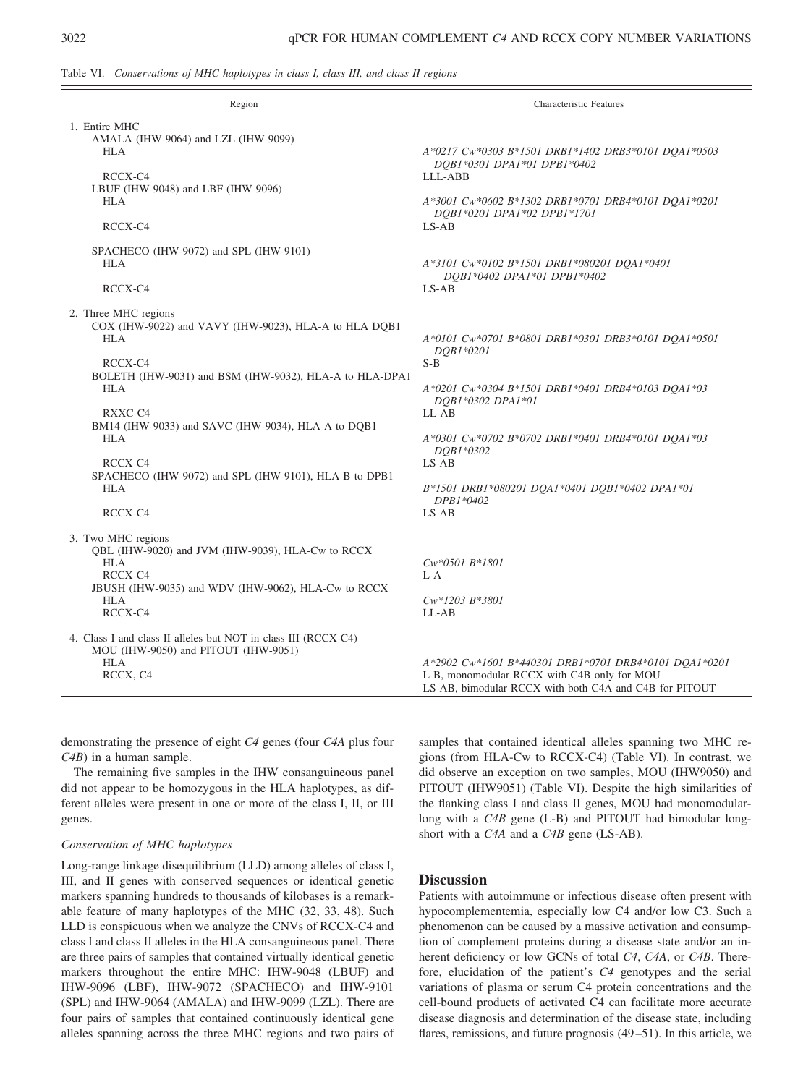|  | Table VI. Conservations of MHC haplotypes in class I, class III, and class II regions |  |  |  |  |  |  |  |  |
|--|---------------------------------------------------------------------------------------|--|--|--|--|--|--|--|--|
|--|---------------------------------------------------------------------------------------|--|--|--|--|--|--|--|--|

| Region                                                                                                                                                                           | <b>Characteristic Features</b>                                                                                                                                                                 |
|----------------------------------------------------------------------------------------------------------------------------------------------------------------------------------|------------------------------------------------------------------------------------------------------------------------------------------------------------------------------------------------|
| 1. Entire MHC<br>AMALA (IHW-9064) and LZL (IHW-9099)<br>HLA<br>RCCX-C4<br>LBUF (IHW-9048) and LBF (IHW-9096)<br>HLA<br>RCCX-C4                                                   | A*0217 Cw*0303 B*1501 DRB1*1402 DRB3*0101 DQA1*0503<br>DOB1*0301 DPA1*01 DPB1*0402<br>LLL-ABB<br>A*3001 Cw*0602 B*1302 DRB1*0701 DRB4*0101 DQA1*0201<br>DQB1*0201 DPA1*02 DPB1*1701<br>$LS-AB$ |
| SPACHECO (IHW-9072) and SPL (IHW-9101)<br>HLA<br>RCCX-C4                                                                                                                         | A*3101 Cw*0102 B*1501 DRB1*080201 DOA1*0401<br>DOB1*0402 DPA1*01 DPB1*0402<br>$LS-AB$                                                                                                          |
| 2. Three MHC regions<br>COX (IHW-9022) and VAVY (IHW-9023), HLA-A to HLA DQB1<br><b>HLA</b><br>RCCX-C4                                                                           | A*0101 Cw*0701 B*0801 DRB1*0301 DRB3*0101 DOA1*0501<br>DQB1*0201<br>$S-B$                                                                                                                      |
| BOLETH (IHW-9031) and BSM (IHW-9032), HLA-A to HLA-DPA1<br><b>HLA</b><br>RXXC-C4                                                                                                 | A*0201 Cw*0304 B*1501 DRB1*0401 DRB4*0103 DQA1*03<br>DOB1*0302 DPA1*01<br>$LL-AB$                                                                                                              |
| BM14 (IHW-9033) and SAVC (IHW-9034), HLA-A to DOB1<br>HLA<br>RCCX-C4                                                                                                             | A*0301 Cw*0702 B*0702 DRB1*0401 DRB4*0101 DOA1*03<br>DOB1*0302<br>$LS-AB$                                                                                                                      |
| SPACHECO (IHW-9072) and SPL (IHW-9101), HLA-B to DPB1<br>HLA<br>RCCX-C4                                                                                                          | B*1501 DRB1*080201 DOA1*0401 DOB1*0402 DPA1*01<br>DPB1*0402<br>$LS-AB$                                                                                                                         |
| 3. Two MHC regions<br>OBL (IHW-9020) and JVM (IHW-9039), HLA-Cw to RCCX<br><b>HLA</b><br>RCCX-C4<br>JBUSH (IHW-9035) and WDV (IHW-9062), HLA-Cw to RCCX<br><b>HLA</b><br>RCCX-C4 | Cw*0501 B*1801<br>$L-A$<br>Cw*1203 B*3801<br>$LL-AB$                                                                                                                                           |
| 4. Class I and class II alleles but NOT in class III (RCCX-C4)<br>MOU (IHW-9050) and PITOUT (IHW-9051)<br><b>HLA</b><br>RCCX, C4                                                 | A*2902 Cw*1601 B*440301 DRB1*0701 DRB4*0101 DOA1*0201<br>L-B, monomodular RCCX with C4B only for MOU<br>LS-AB, bimodular RCCX with both C4A and C4B for PITOUT                                 |

demonstrating the presence of eight *C4* genes (four *C4A* plus four *C4B*) in a human sample.

The remaining five samples in the IHW consanguineous panel did not appear to be homozygous in the HLA haplotypes, as different alleles were present in one or more of the class I, II, or III genes.

#### *Conservation of MHC haplotypes*

Long-range linkage disequilibrium (LLD) among alleles of class I, III, and II genes with conserved sequences or identical genetic markers spanning hundreds to thousands of kilobases is a remarkable feature of many haplotypes of the MHC (32, 33, 48). Such LLD is conspicuous when we analyze the CNVs of RCCX-C4 and class I and class II alleles in the HLA consanguineous panel. There are three pairs of samples that contained virtually identical genetic markers throughout the entire MHC: IHW-9048 (LBUF) and IHW-9096 (LBF), IHW-9072 (SPACHECO) and IHW-9101 (SPL) and IHW-9064 (AMALA) and IHW-9099 (LZL). There are four pairs of samples that contained continuously identical gene alleles spanning across the three MHC regions and two pairs of samples that contained identical alleles spanning two MHC regions (from HLA-Cw to RCCX-C4) (Table VI). In contrast, we did observe an exception on two samples, MOU (IHW9050) and PITOUT (IHW9051) (Table VI). Despite the high similarities of the flanking class I and class II genes, MOU had monomodularlong with a *C4B* gene (L-B) and PITOUT had bimodular longshort with a *C4A* and a *C4B* gene (LS-AB).

# **Discussion**

Patients with autoimmune or infectious disease often present with hypocomplementemia, especially low C4 and/or low C3. Such a phenomenon can be caused by a massive activation and consumption of complement proteins during a disease state and/or an inherent deficiency or low GCNs of total *C4*, *C4A*, or *C4B*. Therefore, elucidation of the patient's *C4* genotypes and the serial variations of plasma or serum C4 protein concentrations and the cell-bound products of activated C4 can facilitate more accurate disease diagnosis and determination of the disease state, including flares, remissions, and future prognosis (49–51). In this article, we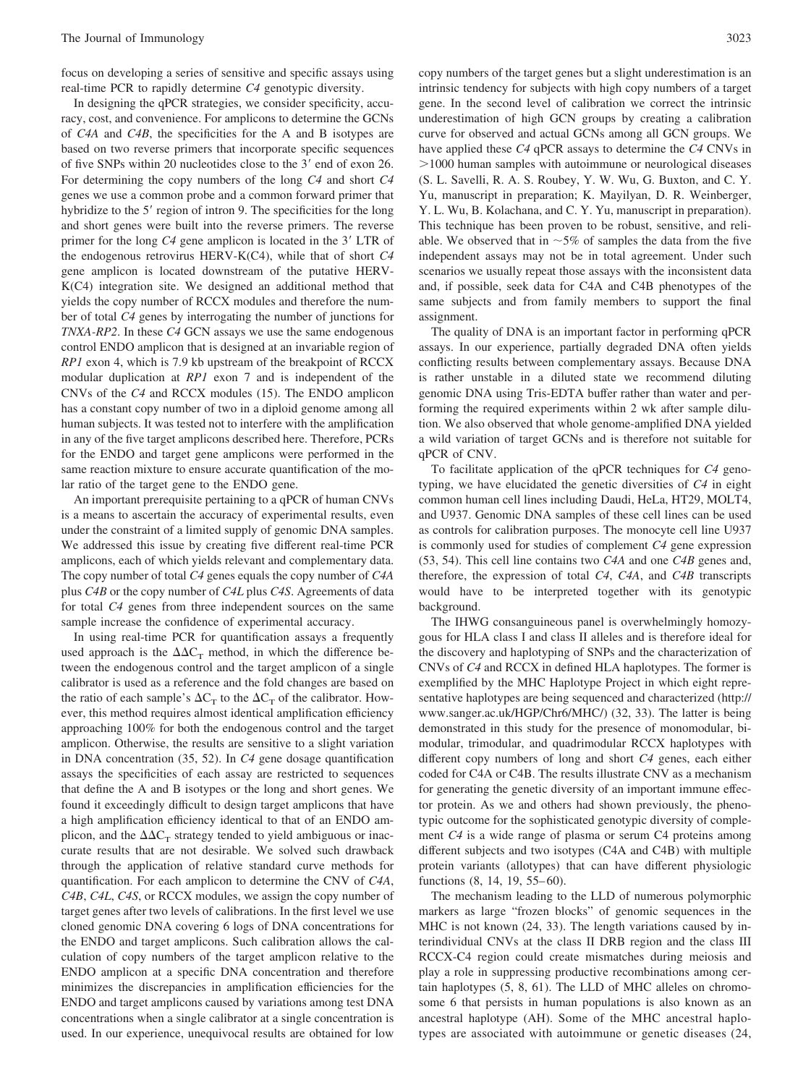focus on developing a series of sensitive and specific assays using real-time PCR to rapidly determine *C4* genotypic diversity.

In designing the qPCR strategies, we consider specificity, accuracy, cost, and convenience. For amplicons to determine the GCNs of *C4A* and *C4B*, the specificities for the A and B isotypes are based on two reverse primers that incorporate specific sequences of five SNPs within 20 nucleotides close to the 3' end of exon 26. For determining the copy numbers of the long *C4* and short *C4* genes we use a common probe and a common forward primer that hybridize to the 5' region of intron 9. The specificities for the long and short genes were built into the reverse primers. The reverse primer for the long *C4* gene amplicon is located in the 3' LTR of the endogenous retrovirus HERV-K(C4), while that of short *C4* gene amplicon is located downstream of the putative HERV-K(C4) integration site. We designed an additional method that yields the copy number of RCCX modules and therefore the number of total *C4* genes by interrogating the number of junctions for *TNXA-RP2*. In these *C4* GCN assays we use the same endogenous control ENDO amplicon that is designed at an invariable region of *RP1* exon 4, which is 7.9 kb upstream of the breakpoint of RCCX modular duplication at *RP1* exon 7 and is independent of the CNVs of the *C4* and RCCX modules (15). The ENDO amplicon has a constant copy number of two in a diploid genome among all human subjects. It was tested not to interfere with the amplification in any of the five target amplicons described here. Therefore, PCRs for the ENDO and target gene amplicons were performed in the same reaction mixture to ensure accurate quantification of the molar ratio of the target gene to the ENDO gene.

An important prerequisite pertaining to a qPCR of human CNVs is a means to ascertain the accuracy of experimental results, even under the constraint of a limited supply of genomic DNA samples. We addressed this issue by creating five different real-time PCR amplicons, each of which yields relevant and complementary data. The copy number of total *C4* genes equals the copy number of *C4A* plus *C4B* or the copy number of *C4L* plus *C4S*. Agreements of data for total *C4* genes from three independent sources on the same sample increase the confidence of experimental accuracy.

In using real-time PCR for quantification assays a frequently used approach is the  $\Delta \Delta C_T$  method, in which the difference between the endogenous control and the target amplicon of a single calibrator is used as a reference and the fold changes are based on the ratio of each sample's  $\Delta C_T$  to the  $\Delta C_T$  of the calibrator. However, this method requires almost identical amplification efficiency approaching 100% for both the endogenous control and the target amplicon. Otherwise, the results are sensitive to a slight variation in DNA concentration (35, 52). In *C4* gene dosage quantification assays the specificities of each assay are restricted to sequences that define the A and B isotypes or the long and short genes. We found it exceedingly difficult to design target amplicons that have a high amplification efficiency identical to that of an ENDO amplicon, and the  $\Delta \Delta C_T$  strategy tended to yield ambiguous or inaccurate results that are not desirable. We solved such drawback through the application of relative standard curve methods for quantification. For each amplicon to determine the CNV of *C4A*, *C4B*, *C4L*, *C4S*, or RCCX modules, we assign the copy number of target genes after two levels of calibrations. In the first level we use cloned genomic DNA covering 6 logs of DNA concentrations for the ENDO and target amplicons. Such calibration allows the calculation of copy numbers of the target amplicon relative to the ENDO amplicon at a specific DNA concentration and therefore minimizes the discrepancies in amplification efficiencies for the ENDO and target amplicons caused by variations among test DNA concentrations when a single calibrator at a single concentration is used. In our experience, unequivocal results are obtained for low copy numbers of the target genes but a slight underestimation is an intrinsic tendency for subjects with high copy numbers of a target gene. In the second level of calibration we correct the intrinsic underestimation of high GCN groups by creating a calibration curve for observed and actual GCNs among all GCN groups. We have applied these *C4* qPCR assays to determine the *C4* CNVs in 1000 human samples with autoimmune or neurological diseases (S. L. Savelli, R. A. S. Roubey, Y. W. Wu, G. Buxton, and C. Y. Yu, manuscript in preparation; K. Mayilyan, D. R. Weinberger, Y. L. Wu, B. Kolachana, and C. Y. Yu, manuscript in preparation). This technique has been proven to be robust, sensitive, and reliable. We observed that in  $\sim$  5% of samples the data from the five independent assays may not be in total agreement. Under such scenarios we usually repeat those assays with the inconsistent data and, if possible, seek data for C4A and C4B phenotypes of the same subjects and from family members to support the final assignment.

The quality of DNA is an important factor in performing qPCR assays. In our experience, partially degraded DNA often yields conflicting results between complementary assays. Because DNA is rather unstable in a diluted state we recommend diluting genomic DNA using Tris-EDTA buffer rather than water and performing the required experiments within 2 wk after sample dilution. We also observed that whole genome-amplified DNA yielded a wild variation of target GCNs and is therefore not suitable for qPCR of CNV.

To facilitate application of the qPCR techniques for *C4* genotyping, we have elucidated the genetic diversities of *C4* in eight common human cell lines including Daudi, HeLa, HT29, MOLT4, and U937. Genomic DNA samples of these cell lines can be used as controls for calibration purposes. The monocyte cell line U937 is commonly used for studies of complement *C4* gene expression (53, 54). This cell line contains two *C4A* and one *C4B* genes and, therefore, the expression of total *C4*, *C4A*, and *C4B* transcripts would have to be interpreted together with its genotypic background.

The IHWG consanguineous panel is overwhelmingly homozygous for HLA class I and class II alleles and is therefore ideal for the discovery and haplotyping of SNPs and the characterization of CNVs of *C4* and RCCX in defined HLA haplotypes. The former is exemplified by the MHC Haplotype Project in which eight representative haplotypes are being sequenced and characterized (http:// www.sanger.ac.uk/HGP/Chr6/MHC/) (32, 33). The latter is being demonstrated in this study for the presence of monomodular, bimodular, trimodular, and quadrimodular RCCX haplotypes with different copy numbers of long and short *C4* genes, each either coded for C4A or C4B. The results illustrate CNV as a mechanism for generating the genetic diversity of an important immune effector protein. As we and others had shown previously, the phenotypic outcome for the sophisticated genotypic diversity of complement *C4* is a wide range of plasma or serum C4 proteins among different subjects and two isotypes (C4A and C4B) with multiple protein variants (allotypes) that can have different physiologic functions (8, 14, 19, 55–60).

The mechanism leading to the LLD of numerous polymorphic markers as large "frozen blocks" of genomic sequences in the MHC is not known (24, 33). The length variations caused by interindividual CNVs at the class II DRB region and the class III RCCX-C4 region could create mismatches during meiosis and play a role in suppressing productive recombinations among certain haplotypes (5, 8, 61). The LLD of MHC alleles on chromosome 6 that persists in human populations is also known as an ancestral haplotype (AH). Some of the MHC ancestral haplotypes are associated with autoimmune or genetic diseases (24,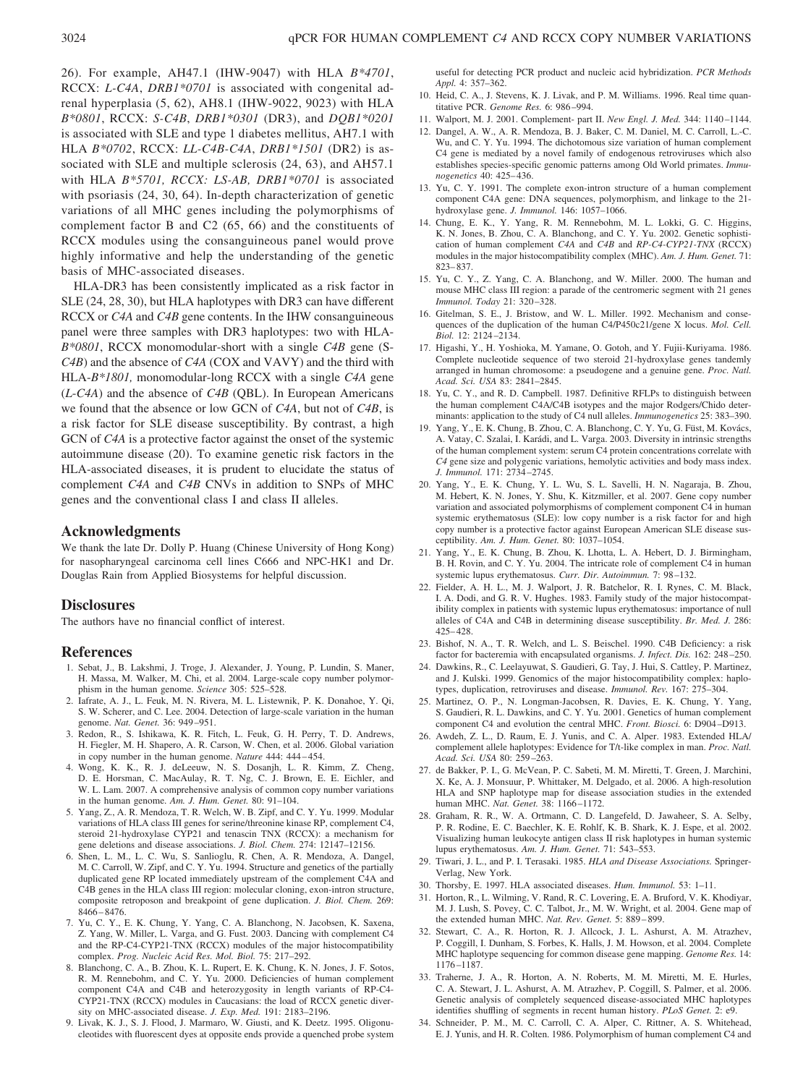26). For example, AH47.1 (IHW-9047) with HLA *B\*4701*, RCCX: *L-C4A*, *DRB1\*0701* is associated with congenital adrenal hyperplasia (5, 62), AH8.1 (IHW-9022, 9023) with HLA *B\*0801*, RCCX: *S-C4B*, *DRB1\*0301* (DR3), and *DQB1\*0201* is associated with SLE and type 1 diabetes mellitus, AH7.1 with HLA *B\*0702*, RCCX: *LL-C4B-C4A*, *DRB1\*1501* (DR2) is associated with SLE and multiple sclerosis (24, 63), and AH57.1 with HLA *B\*5701, RCCX: LS-AB, DRB1\*0701* is associated with psoriasis (24, 30, 64). In-depth characterization of genetic variations of all MHC genes including the polymorphisms of complement factor B and C2 (65, 66) and the constituents of RCCX modules using the consanguineous panel would prove highly informative and help the understanding of the genetic basis of MHC-associated diseases.

HLA-DR3 has been consistently implicated as a risk factor in SLE (24, 28, 30), but HLA haplotypes with DR3 can have different RCCX or *C4A* and *C4B* gene contents. In the IHW consanguineous panel were three samples with DR3 haplotypes: two with HLA-*B\*0801*, RCCX monomodular-short with a single *C4B* gene (S-*C4B*) and the absence of *C4A* (COX and VAVY) and the third with HLA-*B\*1801,* monomodular-long RCCX with a single *C4A* gene (*L*-*C4A*) and the absence of *C4B* (QBL). In European Americans we found that the absence or low GCN of *C4A*, but not of *C4B*, is a risk factor for SLE disease susceptibility. By contrast, a high GCN of *C4A* is a protective factor against the onset of the systemic autoimmune disease (20). To examine genetic risk factors in the HLA-associated diseases, it is prudent to elucidate the status of complement *C4A* and *C4B* CNVs in addition to SNPs of MHC genes and the conventional class I and class II alleles.

# **Acknowledgments**

We thank the late Dr. Dolly P. Huang (Chinese University of Hong Kong) for nasopharyngeal carcinoma cell lines C666 and NPC-HK1 and Dr. Douglas Rain from Applied Biosystems for helpful discussion.

# **Disclosures**

The authors have no financial conflict of interest.

#### **References**

- 1. Sebat, J., B. Lakshmi, J. Troge, J. Alexander, J. Young, P. Lundin, S. Maner, H. Massa, M. Walker, M. Chi, et al. 2004. Large-scale copy number polymorphism in the human genome. *Science* 305: 525–528.
- 2. Iafrate, A. J., L. Feuk, M. N. Rivera, M. L. Listewnik, P. K. Donahoe, Y. Qi, S. W. Scherer, and C. Lee. 2004. Detection of large-scale variation in the human genome. *Nat. Genet.* 36: 949 –951.
- 3. Redon, R., S. Ishikawa, K. R. Fitch, L. Feuk, G. H. Perry, T. D. Andrews, H. Fiegler, M. H. Shapero, A. R. Carson, W. Chen, et al. 2006. Global variation in copy number in the human genome. *Nature* 444: 444 – 454.
- 4. Wong, K. K., R. J. deLeeuw, N. S. Dosanjh, L. R. Kimm, Z. Cheng, D. E. Horsman, C. MacAulay, R. T. Ng, C. J. Brown, E. E. Eichler, and W. L. Lam. 2007. A comprehensive analysis of common copy number variations in the human genome. *Am. J. Hum. Genet.* 80: 91–104.
- 5. Yang, Z., A. R. Mendoza, T. R. Welch, W. B. Zipf, and C. Y. Yu. 1999. Modular variations of HLA class III genes for serine/threonine kinase RP, complement C4, steroid 21-hydroxylase CYP21 and tenascin TNX (RCCX): a mechanism for gene deletions and disease associations. *J. Biol. Chem.* 274: 12147–12156.
- 6. Shen, L. M., L. C. Wu, S. Sanlioglu, R. Chen, A. R. Mendoza, A. Dangel, M. C. Carroll, W. Zipf, and C. Y. Yu. 1994. Structure and genetics of the partially duplicated gene RP located immediately upstream of the complement C4A and C4B genes in the HLA class III region: molecular cloning, exon-intron structure, composite retroposon and breakpoint of gene duplication. *J. Biol. Chem.* 269: 8466 – 8476.
- 7. Yu, C. Y., E. K. Chung, Y. Yang, C. A. Blanchong, N. Jacobsen, K. Saxena, Z. Yang, W. Miller, L. Varga, and G. Fust. 2003. Dancing with complement C4 and the RP-C4-CYP21-TNX (RCCX) modules of the major histocompatibility complex. *Prog. Nucleic Acid Res. Mol. Biol.* 75: 217–292.
- 8. Blanchong, C. A., B. Zhou, K. L. Rupert, E. K. Chung, K. N. Jones, J. F. Sotos, R. M. Rennebohm, and C. Y. Yu. 2000. Deficiencies of human complement component C4A and C4B and heterozygosity in length variants of RP-C4- CYP21-TNX (RCCX) modules in Caucasians: the load of RCCX genetic diversity on MHC-associated disease. *J. Exp. Med.* 191: 2183–2196.
- 9. Livak, K. J., S. J. Flood, J. Marmaro, W. Giusti, and K. Deetz. 1995. Oligonucleotides with fluorescent dyes at opposite ends provide a quenched probe system

useful for detecting PCR product and nucleic acid hybridization. *PCR Methods Appl.* 4: 357–362.

- 10. Heid, C. A., J. Stevens, K. J. Livak, and P. M. Williams. 1996. Real time quantitative PCR. *Genome Res.* 6: 986 –994.
- 11. Walport, M. J. 2001. Complement- part II. *New Engl. J. Med.* 344: 1140 –1144.
- 12. Dangel, A. W., A. R. Mendoza, B. J. Baker, C. M. Daniel, M. C. Carroll, L.-C. Wu, and C. Y. Yu. 1994. The dichotomous size variation of human complement C4 gene is mediated by a novel family of endogenous retroviruses which also establishes species-specific genomic patterns among Old World primates. *Immunogenetics* 40: 425– 436.
- 13. Yu, C. Y. 1991. The complete exon-intron structure of a human complement component C4A gene: DNA sequences, polymorphism, and linkage to the 21 hydroxylase gene. *J. Immunol.* 146: 1057–1066.
- 14. Chung, E. K., Y. Yang, R. M. Rennebohm, M. L. Lokki, G. C. Higgins, K. N. Jones, B. Zhou, C. A. Blanchong, and C. Y. Yu. 2002. Genetic sophistication of human complement *C4A* and *C4B* and *RP-C4-CYP21-TNX* (RCCX) modules in the major histocompatibility complex (MHC). *Am. J. Hum. Genet.* 71: 823– 837.
- 15. Yu, C. Y., Z. Yang, C. A. Blanchong, and W. Miller. 2000. The human and mouse MHC class III region: a parade of the centromeric segment with 21 genes *Immunol. Today* 21: 320 –328.
- 16. Gitelman, S. E., J. Bristow, and W. L. Miller. 1992. Mechanism and consequences of the duplication of the human C4/P450c21/gene X locus. *Mol. Cell. Biol.* 12: 2124 –2134.
- 17. Higashi, Y., H. Yoshioka, M. Yamane, O. Gotoh, and Y. Fujii-Kuriyama. 1986. Complete nucleotide sequence of two steroid 21-hydroxylase genes tandemly arranged in human chromosome: a pseudogene and a genuine gene. *Proc. Natl. Acad. Sci. USA* 83: 2841–2845.
- 18. Yu, C. Y., and R. D. Campbell. 1987. Definitive RFLPs to distinguish between the human complement C4A/C4B isotypes and the major Rodgers/Chido determinants: application to the study of C4 null alleles. *Immunogenetics* 25: 383–390.
- 19. Yang, Y., E. K. Chung, B. Zhou, C. A. Blanchong, C. Y. Yu, G. Füst, M. Kovács, A. Vatay, C. Szalai, I. Karádi, and L. Varga. 2003. Diversity in intrinsic strengths of the human complement system: serum C4 protein concentrations correlate with *C4* gene size and polygenic variations, hemolytic activities and body mass index. *J. Immunol.* 171: 2734 –2745.
- 20. Yang, Y., E. K. Chung, Y. L. Wu, S. L. Savelli, H. N. Nagaraja, B. Zhou, M. Hebert, K. N. Jones, Y. Shu, K. Kitzmiller, et al. 2007. Gene copy number variation and associated polymorphisms of complement component C4 in human systemic erythematosus (SLE): low copy number is a risk factor for and high copy number is a protective factor against European American SLE disease susceptibility. *Am. J. Hum. Genet.* 80: 1037–1054.
- 21. Yang, Y., E. K. Chung, B. Zhou, K. Lhotta, L. A. Hebert, D. J. Birmingham, B. H. Rovin, and C. Y. Yu. 2004. The intricate role of complement C4 in human systemic lupus erythematosus. *Curr. Dir. Autoimmun.* 7: 98 –132.
- 22. Fielder, A. H. L., M. J. Walport, J. R. Batchelor, R. I. Rynes, C. M. Black, I. A. Dodi, and G. R. V. Hughes. 1983. Family study of the major histocompatibility complex in patients with systemic lupus erythematosus: importance of null alleles of C4A and C4B in determining disease susceptibility. *Br. Med. J.* 286: 425– 428.
- 23. Bishof, N. A., T. R. Welch, and L. S. Beischel. 1990. C4B Deficiency: a risk factor for bacteremia with encapsulated organisms. *J. Infect. Dis.* 162: 248 –250.
- 24. Dawkins, R., C. Leelayuwat, S. Gaudieri, G. Tay, J. Hui, S. Cattley, P. Martinez, and J. Kulski. 1999. Genomics of the major histocompatibility complex: haplotypes, duplication, retroviruses and disease. *Immunol. Rev.* 167: 275–304.
- 25. Martinez, O. P., N. Longman-Jacobsen, R. Davies, E. K. Chung, Y. Yang, S. Gaudieri, R. L. Dawkins, and C. Y. Yu. 2001. Genetics of human complement component C4 and evolution the central MHC. *Front. Biosci.* 6: D904 –D913.
- 26. Awdeh, Z. L., D. Raum, E. J. Yunis, and C. A. Alper. 1983. Extended HLA/ complement allele haplotypes: Evidence for T/t-like complex in man. *Proc. Natl. Acad. Sci. USA* 80: 259 –263.
- 27. de Bakker, P. I., G. McVean, P. C. Sabeti, M. M. Miretti, T. Green, J. Marchini, X. Ke, A. J. Monsuur, P. Whittaker, M. Delgado, et al. 2006. A high-resolution HLA and SNP haplotype map for disease association studies in the extended human MHC. *Nat. Genet.* 38: 1166 –1172.
- 28. Graham, R. R., W. A. Ortmann, C. D. Langefeld, D. Jawaheer, S. A. Selby, P. R. Rodine, E. C. Baechler, K. E. Rohlf, K. B. Shark, K. J. Espe, et al. 2002. Visualizing human leukocyte antigen class II risk haplotypes in human systemic lupus erythematosus. *Am. J. Hum. Genet.* 71: 543–553.
- 29. Tiwari, J. L., and P. I. Terasaki. 1985. *HLA and Disease Associations.* Springer-Verlag, New York.
- 30. Thorsby, E. 1997. HLA associated diseases. *Hum. Immunol.* 53: 1–11.
- 31. Horton, R., L. Wilming, V. Rand, R. C. Lovering, E. A. Bruford, V. K. Khodiyar, M. J. Lush, S. Povey, C. C. Talbot, Jr., M. W. Wright, et al. 2004. Gene map of the extended human MHC. *Nat. Rev. Genet.* 5: 889 – 899.
- 32. Stewart, C. A., R. Horton, R. J. Allcock, J. L. Ashurst, A. M. Atrazhev, P. Coggill, I. Dunham, S. Forbes, K. Halls, J. M. Howson, et al. 2004. Complete MHC haplotype sequencing for common disease gene mapping. *Genome Res.* 14: 1176 –1187.
- 33. Traherne, J. A., R. Horton, A. N. Roberts, M. M. Miretti, M. E. Hurles, C. A. Stewart, J. L. Ashurst, A. M. Atrazhev, P. Coggill, S. Palmer, et al. 2006. Genetic analysis of completely sequenced disease-associated MHC haplotypes identifies shuffling of segments in recent human history. *PLoS Genet.* 2: e9.
- 34. Schneider, P. M., M. C. Carroll, C. A. Alper, C. Rittner, A. S. Whitehead, E. J. Yunis, and H. R. Colten. 1986. Polymorphism of human complement C4 and